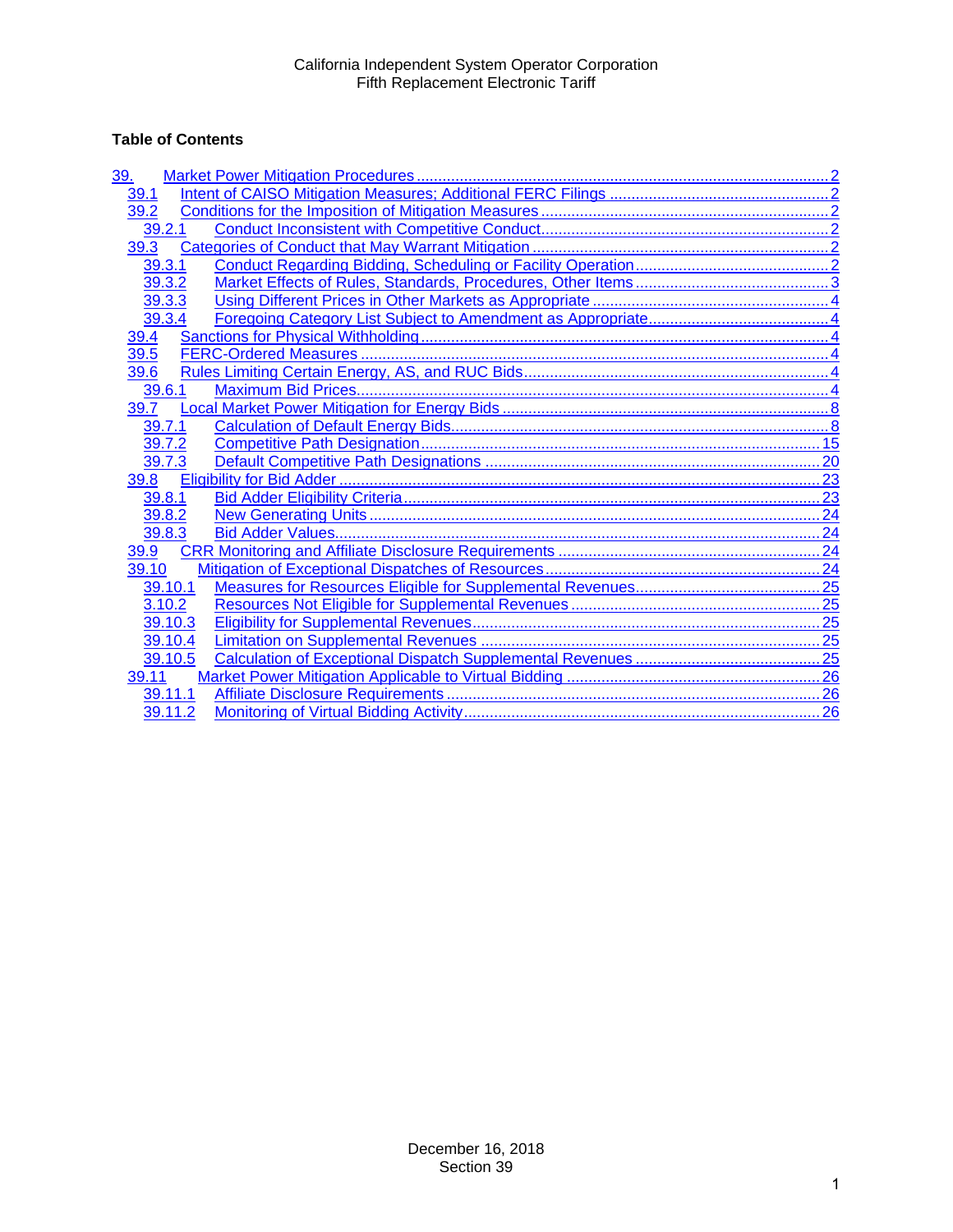# **Table of Contents**

| <u>39.</u> |  |
|------------|--|
| 39.1       |  |
| 39.2       |  |
| 39.2.1     |  |
| 39.3       |  |
| 39.3.1     |  |
| 39.3.2     |  |
| 39.3.3     |  |
| 39.3.4     |  |
| 39.4       |  |
| 39.5       |  |
| 39.6       |  |
| 39.6.1     |  |
| 39.7       |  |
| 39.7.1     |  |
| 39.7.2     |  |
| 39.7.3     |  |
| 39.8       |  |
| 39.8.1     |  |
| 39.8.2     |  |
| 39.8.3     |  |
| 39.9       |  |
| 39.10      |  |
| 39.10.1    |  |
| 3.10.2     |  |
| 39.10.3    |  |
| 39.10.4    |  |
| 39.10.5    |  |
| 39.11      |  |
| 39.11.1    |  |
| 39.11.2    |  |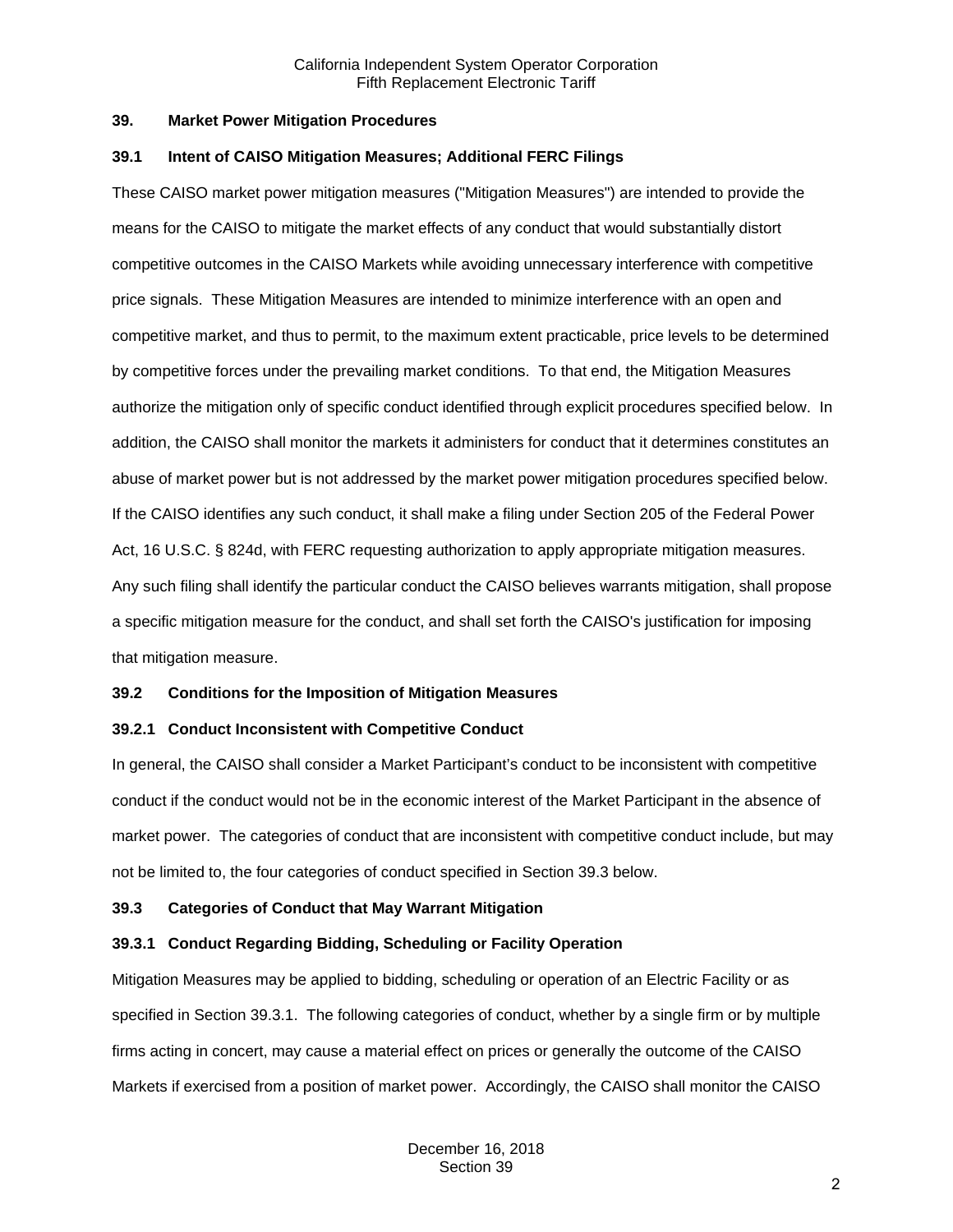## <span id="page-1-0"></span>**39. Market Power Mitigation Procedures**

#### <span id="page-1-1"></span>**39.1 Intent of CAISO Mitigation Measures; Additional FERC Filings**

These CAISO market power mitigation measures ("Mitigation Measures") are intended to provide the means for the CAISO to mitigate the market effects of any conduct that would substantially distort competitive outcomes in the CAISO Markets while avoiding unnecessary interference with competitive price signals. These Mitigation Measures are intended to minimize interference with an open and competitive market, and thus to permit, to the maximum extent practicable, price levels to be determined by competitive forces under the prevailing market conditions. To that end, the Mitigation Measures authorize the mitigation only of specific conduct identified through explicit procedures specified below. In addition, the CAISO shall monitor the markets it administers for conduct that it determines constitutes an abuse of market power but is not addressed by the market power mitigation procedures specified below. If the CAISO identifies any such conduct, it shall make a filing under Section 205 of the Federal Power Act, 16 U.S.C. § 824d, with FERC requesting authorization to apply appropriate mitigation measures. Any such filing shall identify the particular conduct the CAISO believes warrants mitigation, shall propose a specific mitigation measure for the conduct, and shall set forth the CAISO's justification for imposing that mitigation measure.

## <span id="page-1-2"></span>**39.2 Conditions for the Imposition of Mitigation Measures**

## <span id="page-1-3"></span>**39.2.1 Conduct Inconsistent with Competitive Conduct**

In general, the CAISO shall consider a Market Participant's conduct to be inconsistent with competitive conduct if the conduct would not be in the economic interest of the Market Participant in the absence of market power. The categories of conduct that are inconsistent with competitive conduct include, but may not be limited to, the four categories of conduct specified in Section 39.3 below.

## <span id="page-1-4"></span>**39.3 Categories of Conduct that May Warrant Mitigation**

## <span id="page-1-5"></span>**39.3.1 Conduct Regarding Bidding, Scheduling or Facility Operation**

Mitigation Measures may be applied to bidding, scheduling or operation of an Electric Facility or as specified in Section 39.3.1. The following categories of conduct, whether by a single firm or by multiple firms acting in concert, may cause a material effect on prices or generally the outcome of the CAISO Markets if exercised from a position of market power. Accordingly, the CAISO shall monitor the CAISO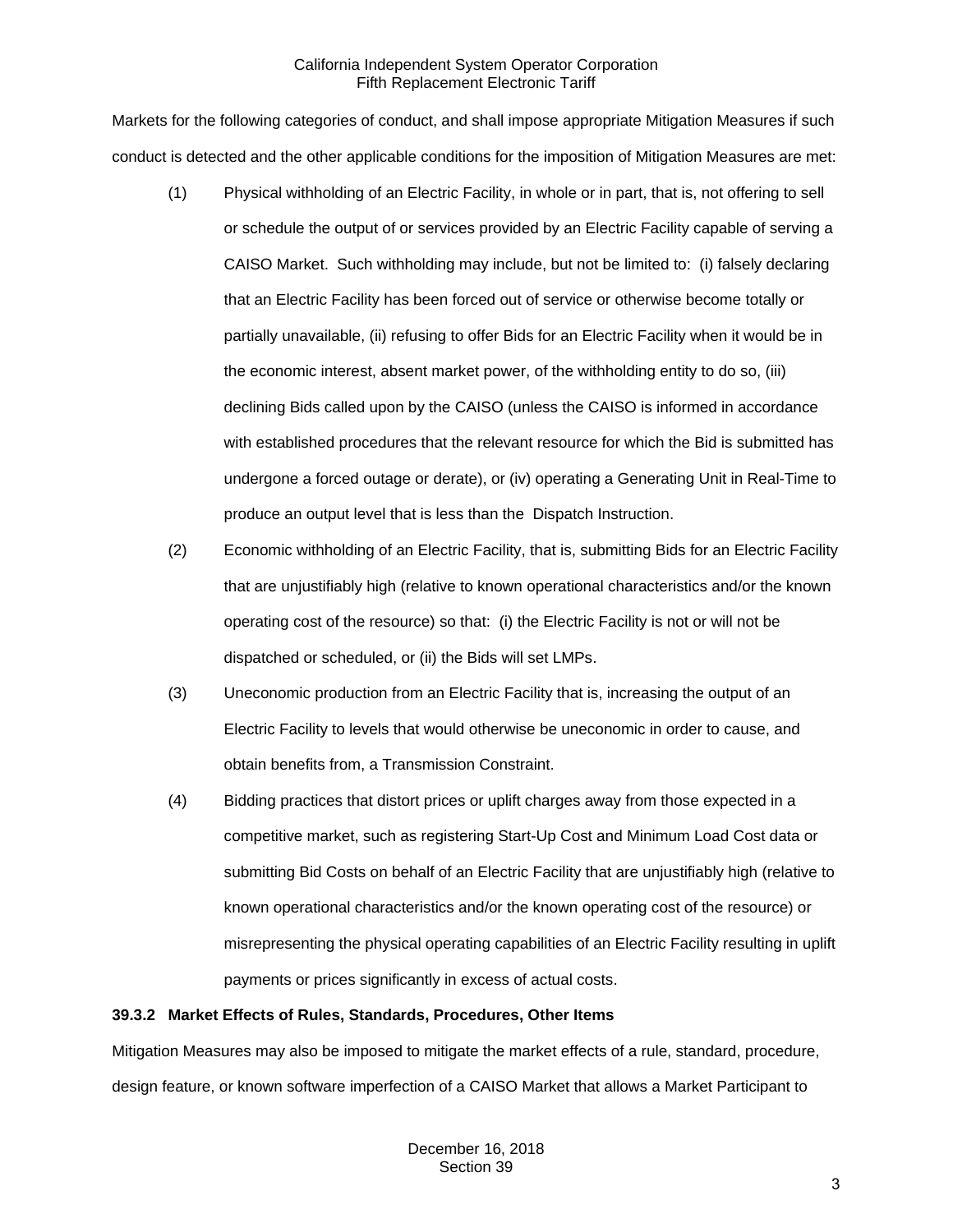Markets for the following categories of conduct, and shall impose appropriate Mitigation Measures if such conduct is detected and the other applicable conditions for the imposition of Mitigation Measures are met:

- (1) Physical withholding of an Electric Facility, in whole or in part, that is, not offering to sell or schedule the output of or services provided by an Electric Facility capable of serving a CAISO Market. Such withholding may include, but not be limited to: (i) falsely declaring that an Electric Facility has been forced out of service or otherwise become totally or partially unavailable, (ii) refusing to offer Bids for an Electric Facility when it would be in the economic interest, absent market power, of the withholding entity to do so, (iii) declining Bids called upon by the CAISO (unless the CAISO is informed in accordance with established procedures that the relevant resource for which the Bid is submitted has undergone a forced outage or derate), or (iv) operating a Generating Unit in Real-Time to produce an output level that is less than the Dispatch Instruction.
- (2) Economic withholding of an Electric Facility, that is, submitting Bids for an Electric Facility that are unjustifiably high (relative to known operational characteristics and/or the known operating cost of the resource) so that: (i) the Electric Facility is not or will not be dispatched or scheduled, or (ii) the Bids will set LMPs.
- (3) Uneconomic production from an Electric Facility that is, increasing the output of an Electric Facility to levels that would otherwise be uneconomic in order to cause, and obtain benefits from, a Transmission Constraint.
- (4) Bidding practices that distort prices or uplift charges away from those expected in a competitive market, such as registering Start-Up Cost and Minimum Load Cost data or submitting Bid Costs on behalf of an Electric Facility that are unjustifiably high (relative to known operational characteristics and/or the known operating cost of the resource) or misrepresenting the physical operating capabilities of an Electric Facility resulting in uplift payments or prices significantly in excess of actual costs.

## <span id="page-2-0"></span>**39.3.2 Market Effects of Rules, Standards, Procedures, Other Items**

Mitigation Measures may also be imposed to mitigate the market effects of a rule, standard, procedure, design feature, or known software imperfection of a CAISO Market that allows a Market Participant to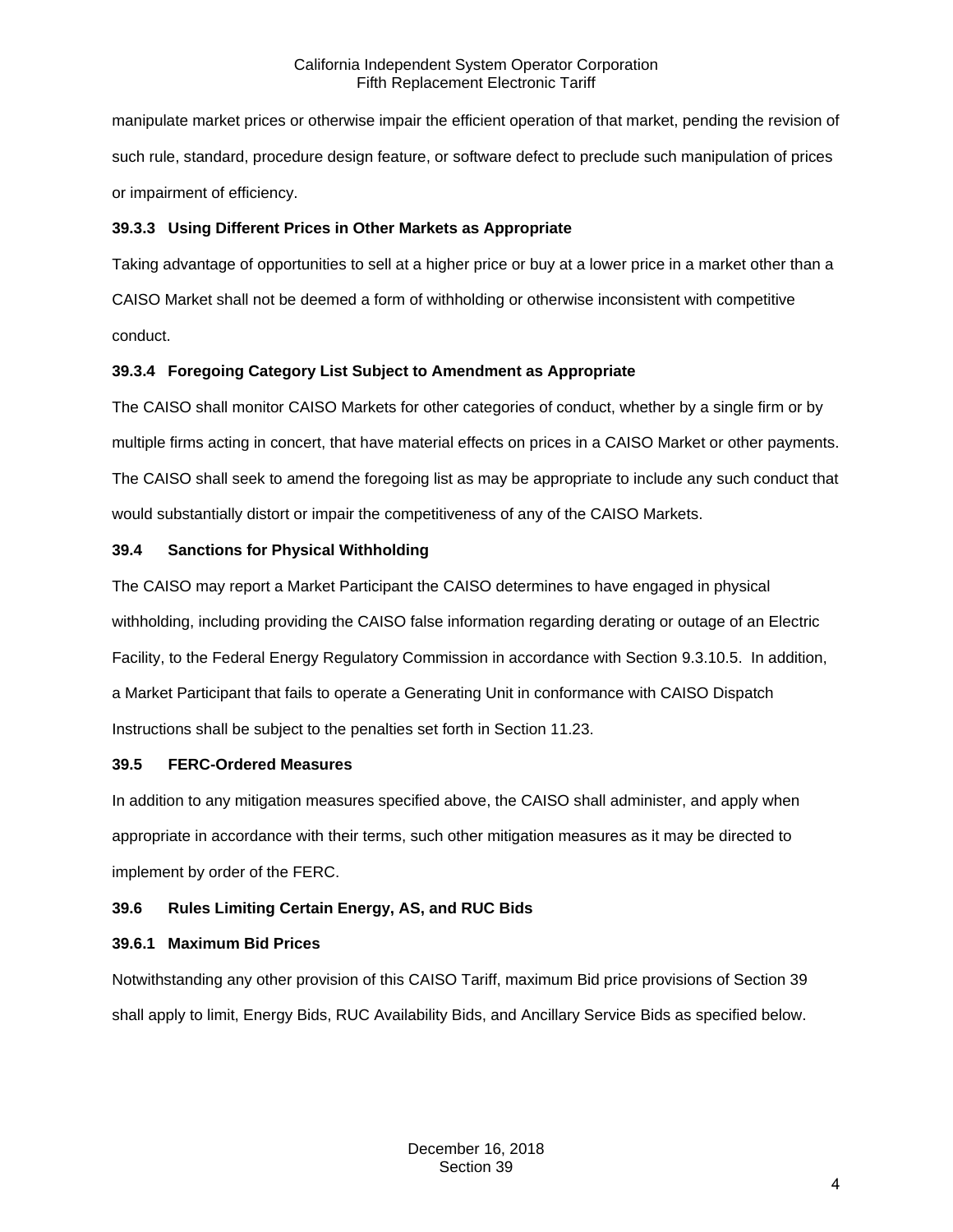manipulate market prices or otherwise impair the efficient operation of that market, pending the revision of such rule, standard, procedure design feature, or software defect to preclude such manipulation of prices or impairment of efficiency.

## <span id="page-3-0"></span>**39.3.3 Using Different Prices in Other Markets as Appropriate**

Taking advantage of opportunities to sell at a higher price or buy at a lower price in a market other than a CAISO Market shall not be deemed a form of withholding or otherwise inconsistent with competitive conduct.

## <span id="page-3-1"></span>**39.3.4 Foregoing Category List Subject to Amendment as Appropriate**

The CAISO shall monitor CAISO Markets for other categories of conduct, whether by a single firm or by multiple firms acting in concert, that have material effects on prices in a CAISO Market or other payments. The CAISO shall seek to amend the foregoing list as may be appropriate to include any such conduct that would substantially distort or impair the competitiveness of any of the CAISO Markets.

## <span id="page-3-2"></span>**39.4 Sanctions for Physical Withholding**

The CAISO may report a Market Participant the CAISO determines to have engaged in physical withholding, including providing the CAISO false information regarding derating or outage of an Electric Facility, to the Federal Energy Regulatory Commission in accordance with Section 9.3.10.5. In addition, a Market Participant that fails to operate a Generating Unit in conformance with CAISO Dispatch Instructions shall be subject to the penalties set forth in Section 11.23.

## <span id="page-3-3"></span>**39.5 FERC-Ordered Measures**

In addition to any mitigation measures specified above, the CAISO shall administer, and apply when appropriate in accordance with their terms, such other mitigation measures as it may be directed to implement by order of the FERC.

# <span id="page-3-4"></span>**39.6 Rules Limiting Certain Energy, AS, and RUC Bids**

## <span id="page-3-5"></span>**39.6.1 Maximum Bid Prices**

Notwithstanding any other provision of this CAISO Tariff, maximum Bid price provisions of Section 39 shall apply to limit, Energy Bids, RUC Availability Bids, and Ancillary Service Bids as specified below.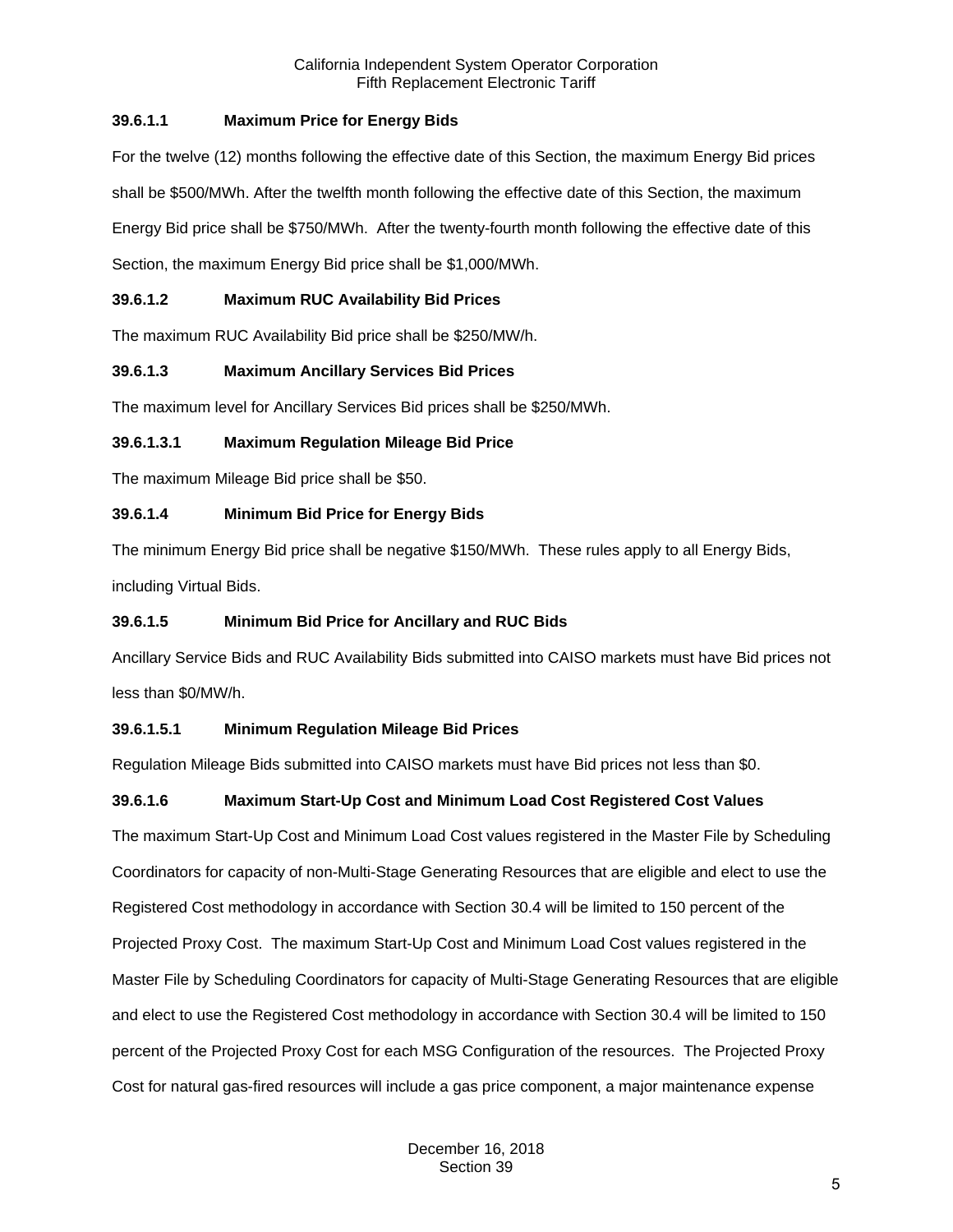# **39.6.1.1 Maximum Price for Energy Bids**

For the twelve (12) months following the effective date of this Section, the maximum Energy Bid prices shall be \$500/MWh. After the twelfth month following the effective date of this Section, the maximum Energy Bid price shall be \$750/MWh. After the twenty-fourth month following the effective date of this Section, the maximum Energy Bid price shall be \$1,000/MWh.

# **39.6.1.2 Maximum RUC Availability Bid Prices**

The maximum RUC Availability Bid price shall be \$250/MW/h.

# **39.6.1.3 Maximum Ancillary Services Bid Prices**

The maximum level for Ancillary Services Bid prices shall be \$250/MWh.

# **39.6.1.3.1 Maximum Regulation Mileage Bid Price**

The maximum Mileage Bid price shall be \$50.

# **39.6.1.4 Minimum Bid Price for Energy Bids**

The minimum Energy Bid price shall be negative \$150/MWh. These rules apply to all Energy Bids, including Virtual Bids.

## **39.6.1.5 Minimum Bid Price for Ancillary and RUC Bids**

Ancillary Service Bids and RUC Availability Bids submitted into CAISO markets must have Bid prices not less than \$0/MW/h.

# **39.6.1.5.1 Minimum Regulation Mileage Bid Prices**

Regulation Mileage Bids submitted into CAISO markets must have Bid prices not less than \$0.

# **39.6.1.6 Maximum Start-Up Cost and Minimum Load Cost Registered Cost Values**

The maximum Start-Up Cost and Minimum Load Cost values registered in the Master File by Scheduling Coordinators for capacity of non-Multi-Stage Generating Resources that are eligible and elect to use the Registered Cost methodology in accordance with Section 30.4 will be limited to 150 percent of the Projected Proxy Cost. The maximum Start-Up Cost and Minimum Load Cost values registered in the Master File by Scheduling Coordinators for capacity of Multi-Stage Generating Resources that are eligible and elect to use the Registered Cost methodology in accordance with Section 30.4 will be limited to 150 percent of the Projected Proxy Cost for each MSG Configuration of the resources. The Projected Proxy Cost for natural gas-fired resources will include a gas price component, a major maintenance expense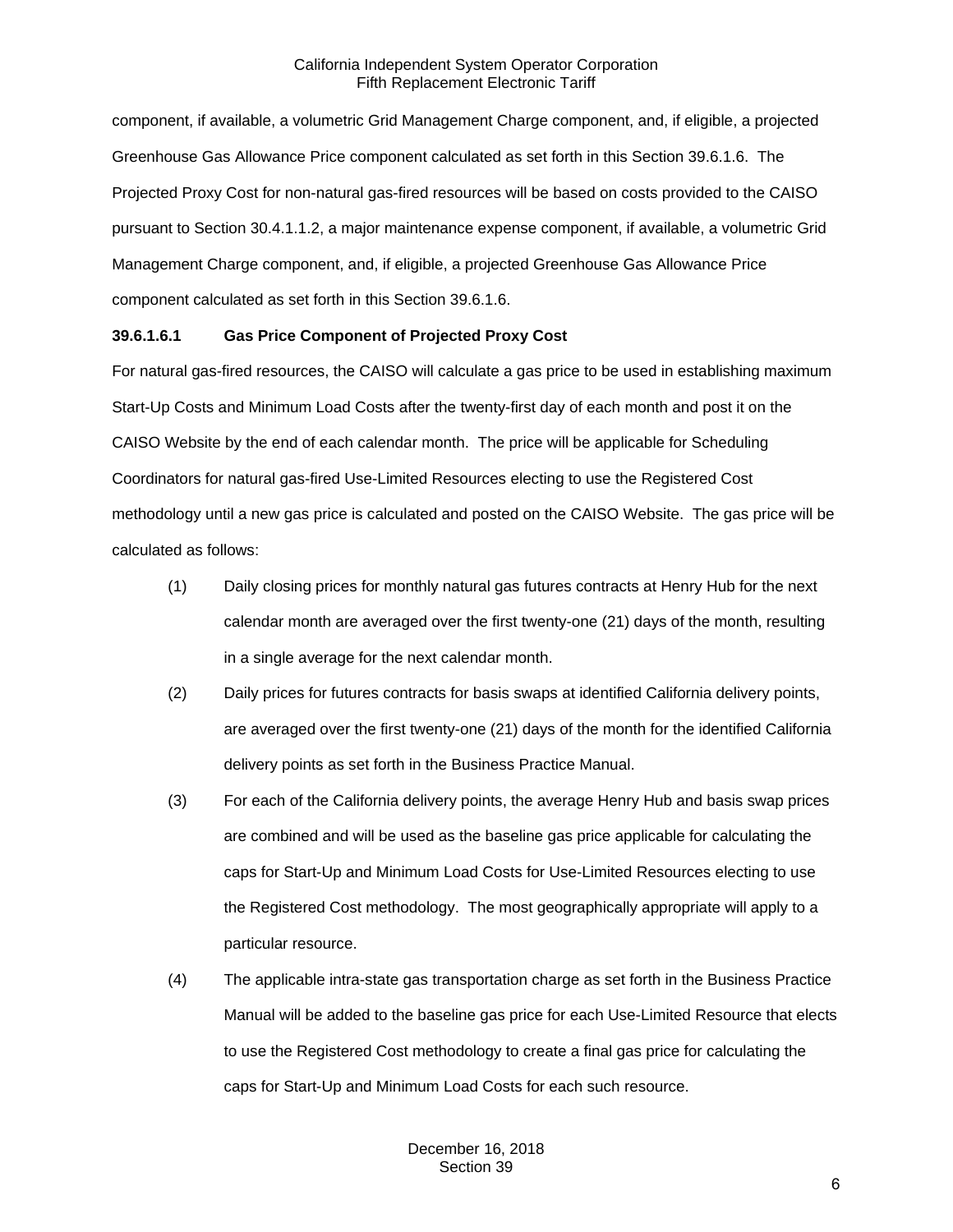component, if available, a volumetric Grid Management Charge component, and, if eligible, a projected Greenhouse Gas Allowance Price component calculated as set forth in this Section 39.6.1.6. The Projected Proxy Cost for non-natural gas-fired resources will be based on costs provided to the CAISO pursuant to Section 30.4.1.1.2, a major maintenance expense component, if available, a volumetric Grid Management Charge component, and, if eligible, a projected Greenhouse Gas Allowance Price component calculated as set forth in this Section 39.6.1.6.

## **39.6.1.6.1 Gas Price Component of Projected Proxy Cost**

For natural gas-fired resources, the CAISO will calculate a gas price to be used in establishing maximum Start-Up Costs and Minimum Load Costs after the twenty-first day of each month and post it on the CAISO Website by the end of each calendar month. The price will be applicable for Scheduling Coordinators for natural gas-fired Use-Limited Resources electing to use the Registered Cost methodology until a new gas price is calculated and posted on the CAISO Website. The gas price will be calculated as follows:

- (1) Daily closing prices for monthly natural gas futures contracts at Henry Hub for the next calendar month are averaged over the first twenty-one (21) days of the month, resulting in a single average for the next calendar month.
- (2) Daily prices for futures contracts for basis swaps at identified California delivery points, are averaged over the first twenty-one (21) days of the month for the identified California delivery points as set forth in the Business Practice Manual.
- (3) For each of the California delivery points, the average Henry Hub and basis swap prices are combined and will be used as the baseline gas price applicable for calculating the caps for Start-Up and Minimum Load Costs for Use-Limited Resources electing to use the Registered Cost methodology. The most geographically appropriate will apply to a particular resource.
- (4) The applicable intra-state gas transportation charge as set forth in the Business Practice Manual will be added to the baseline gas price for each Use-Limited Resource that elects to use the Registered Cost methodology to create a final gas price for calculating the caps for Start-Up and Minimum Load Costs for each such resource.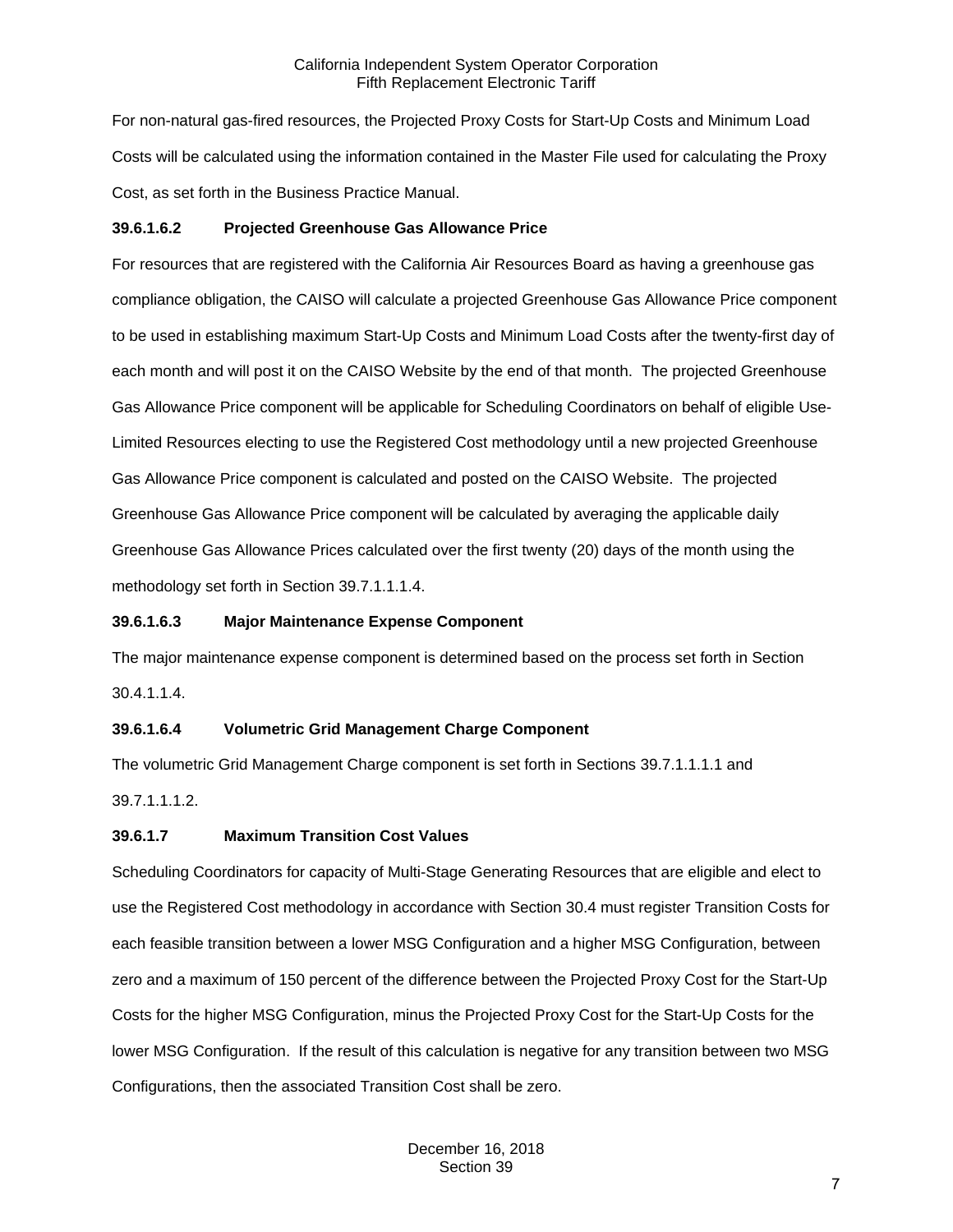For non-natural gas-fired resources, the Projected Proxy Costs for Start-Up Costs and Minimum Load Costs will be calculated using the information contained in the Master File used for calculating the Proxy Cost, as set forth in the Business Practice Manual.

## **39.6.1.6.2 Projected Greenhouse Gas Allowance Price**

For resources that are registered with the California Air Resources Board as having a greenhouse gas compliance obligation, the CAISO will calculate a projected Greenhouse Gas Allowance Price component to be used in establishing maximum Start-Up Costs and Minimum Load Costs after the twenty-first day of each month and will post it on the CAISO Website by the end of that month. The projected Greenhouse Gas Allowance Price component will be applicable for Scheduling Coordinators on behalf of eligible Use-Limited Resources electing to use the Registered Cost methodology until a new projected Greenhouse Gas Allowance Price component is calculated and posted on the CAISO Website. The projected Greenhouse Gas Allowance Price component will be calculated by averaging the applicable daily Greenhouse Gas Allowance Prices calculated over the first twenty (20) days of the month using the methodology set forth in Section 39.7.1.1.1.4.

## **39.6.1.6.3 Major Maintenance Expense Component**

The major maintenance expense component is determined based on the process set forth in Section 30.4.1.1.4.

## **39.6.1.6.4 Volumetric Grid Management Charge Component**

The volumetric Grid Management Charge component is set forth in Sections 39.7.1.1.1.1 and 39.7.1.1.1.2.

## **39.6.1.7 Maximum Transition Cost Values**

Scheduling Coordinators for capacity of Multi-Stage Generating Resources that are eligible and elect to use the Registered Cost methodology in accordance with Section 30.4 must register Transition Costs for each feasible transition between a lower MSG Configuration and a higher MSG Configuration, between zero and a maximum of 150 percent of the difference between the Projected Proxy Cost for the Start-Up Costs for the higher MSG Configuration, minus the Projected Proxy Cost for the Start-Up Costs for the lower MSG Configuration. If the result of this calculation is negative for any transition between two MSG Configurations, then the associated Transition Cost shall be zero.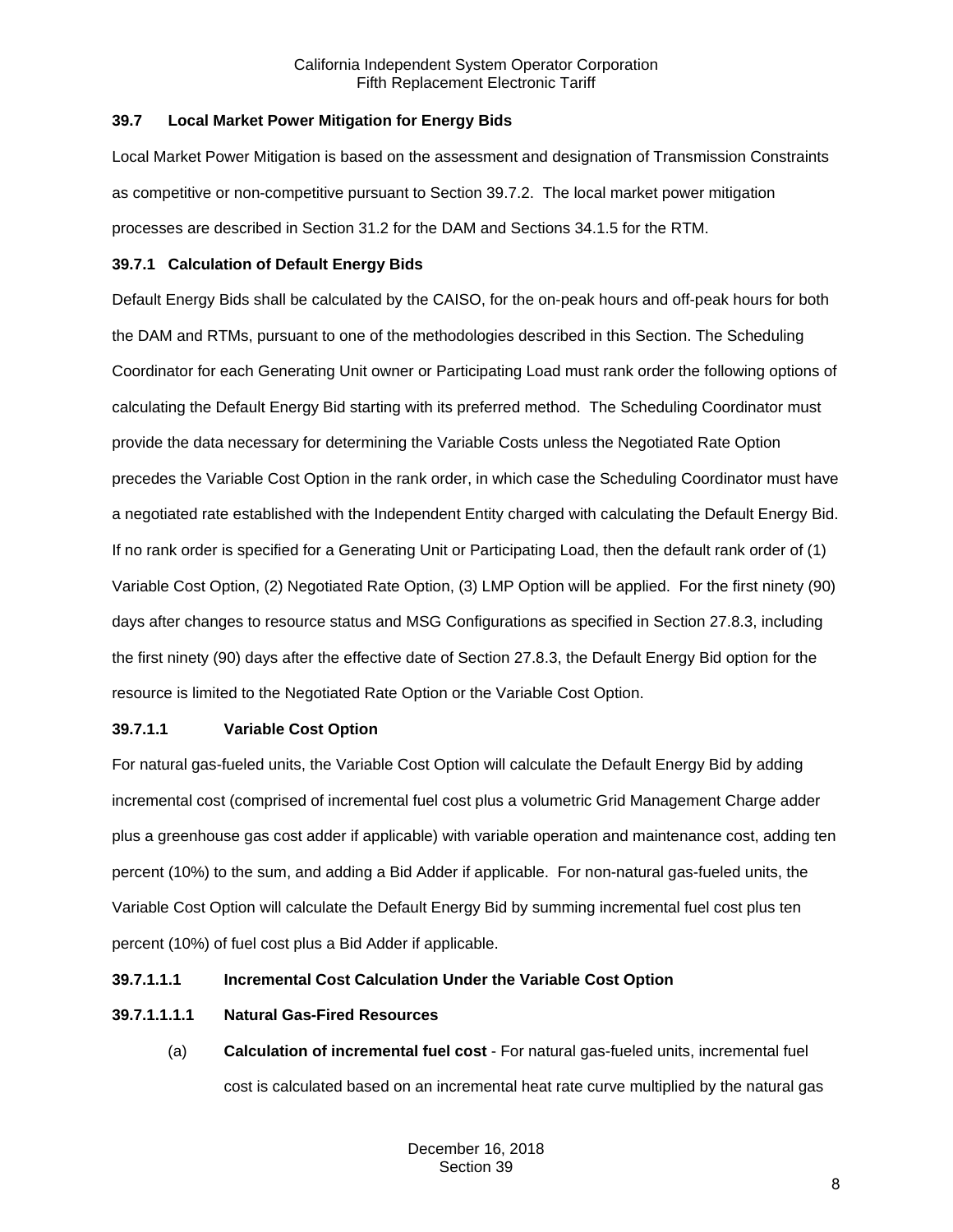## <span id="page-7-0"></span>**39.7 Local Market Power Mitigation for Energy Bids**

Local Market Power Mitigation is based on the assessment and designation of Transmission Constraints as competitive or non-competitive pursuant to Section 39.7.2. The local market power mitigation processes are described in Section 31.2 for the DAM and Sections 34.1.5 for the RTM.

## <span id="page-7-1"></span>**39.7.1 Calculation of Default Energy Bids**

Default Energy Bids shall be calculated by the CAISO, for the on-peak hours and off-peak hours for both the DAM and RTMs, pursuant to one of the methodologies described in this Section. The Scheduling Coordinator for each Generating Unit owner or Participating Load must rank order the following options of calculating the Default Energy Bid starting with its preferred method. The Scheduling Coordinator must provide the data necessary for determining the Variable Costs unless the Negotiated Rate Option precedes the Variable Cost Option in the rank order, in which case the Scheduling Coordinator must have a negotiated rate established with the Independent Entity charged with calculating the Default Energy Bid. If no rank order is specified for a Generating Unit or Participating Load, then the default rank order of (1) Variable Cost Option, (2) Negotiated Rate Option, (3) LMP Option will be applied. For the first ninety (90) days after changes to resource status and MSG Configurations as specified in Section 27.8.3, including the first ninety (90) days after the effective date of Section 27.8.3, the Default Energy Bid option for the resource is limited to the Negotiated Rate Option or the Variable Cost Option.

## **39.7.1.1 Variable Cost Option**

For natural gas-fueled units, the Variable Cost Option will calculate the Default Energy Bid by adding incremental cost (comprised of incremental fuel cost plus a volumetric Grid Management Charge adder plus a greenhouse gas cost adder if applicable) with variable operation and maintenance cost, adding ten percent (10%) to the sum, and adding a Bid Adder if applicable. For non-natural gas-fueled units, the Variable Cost Option will calculate the Default Energy Bid by summing incremental fuel cost plus ten percent (10%) of fuel cost plus a Bid Adder if applicable.

## **39.7.1.1.1 Incremental Cost Calculation Under the Variable Cost Option**

# **39.7.1.1.1.1 Natural Gas-Fired Resources**

(a) **Calculation of incremental fuel cost** - For natural gas-fueled units, incremental fuel cost is calculated based on an incremental heat rate curve multiplied by the natural gas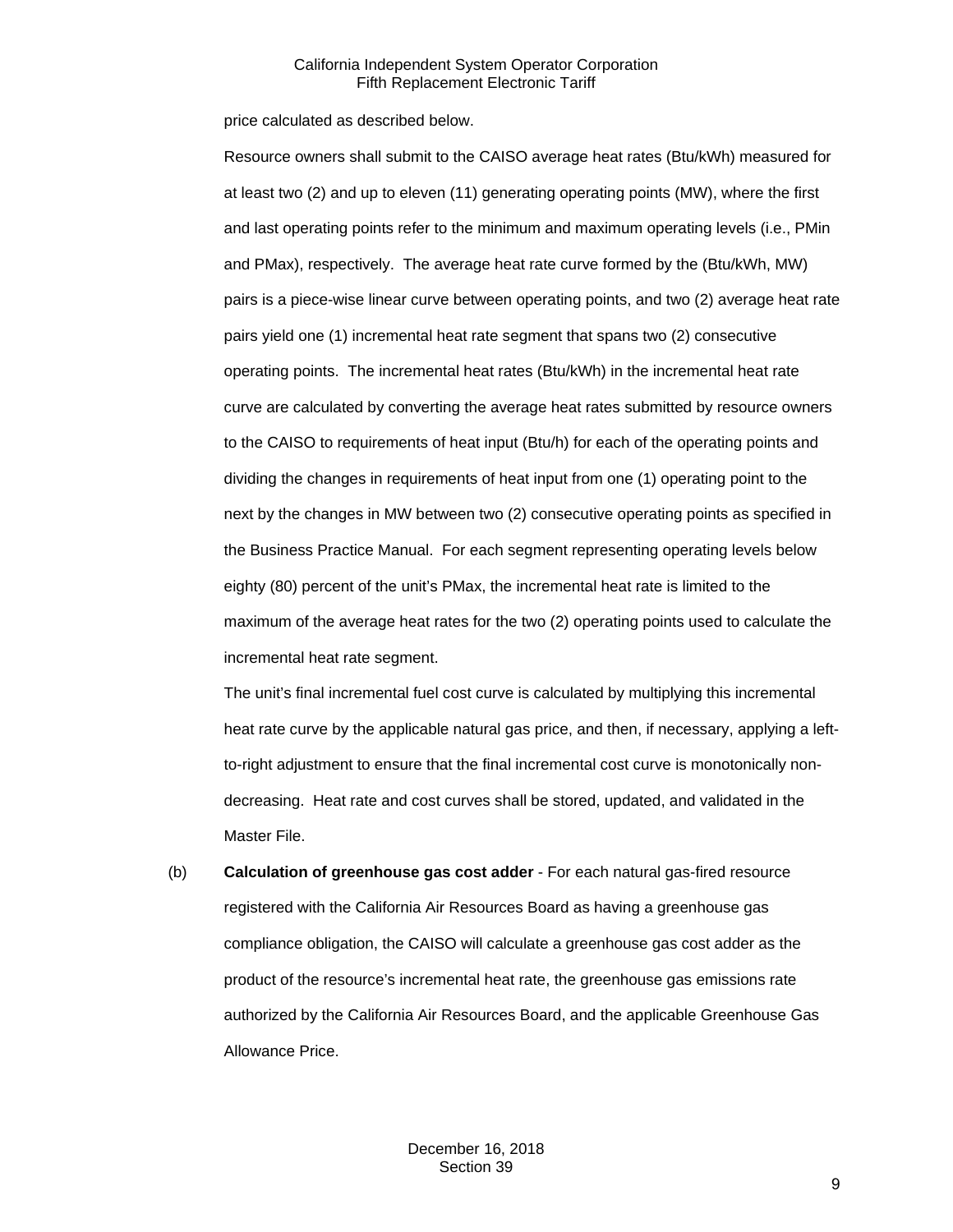price calculated as described below.

Resource owners shall submit to the CAISO average heat rates (Btu/kWh) measured for at least two (2) and up to eleven (11) generating operating points (MW), where the first and last operating points refer to the minimum and maximum operating levels (i.e., PMin and PMax), respectively. The average heat rate curve formed by the (Btu/kWh, MW) pairs is a piece-wise linear curve between operating points, and two (2) average heat rate pairs yield one (1) incremental heat rate segment that spans two (2) consecutive operating points. The incremental heat rates (Btu/kWh) in the incremental heat rate curve are calculated by converting the average heat rates submitted by resource owners to the CAISO to requirements of heat input (Btu/h) for each of the operating points and dividing the changes in requirements of heat input from one (1) operating point to the next by the changes in MW between two (2) consecutive operating points as specified in the Business Practice Manual. For each segment representing operating levels below eighty (80) percent of the unit's PMax, the incremental heat rate is limited to the maximum of the average heat rates for the two (2) operating points used to calculate the incremental heat rate segment.

The unit's final incremental fuel cost curve is calculated by multiplying this incremental heat rate curve by the applicable natural gas price, and then, if necessary, applying a leftto-right adjustment to ensure that the final incremental cost curve is monotonically nondecreasing. Heat rate and cost curves shall be stored, updated, and validated in the Master File.

(b) **Calculation of greenhouse gas cost adder** - For each natural gas-fired resource registered with the California Air Resources Board as having a greenhouse gas compliance obligation, the CAISO will calculate a greenhouse gas cost adder as the product of the resource's incremental heat rate, the greenhouse gas emissions rate authorized by the California Air Resources Board, and the applicable Greenhouse Gas Allowance Price.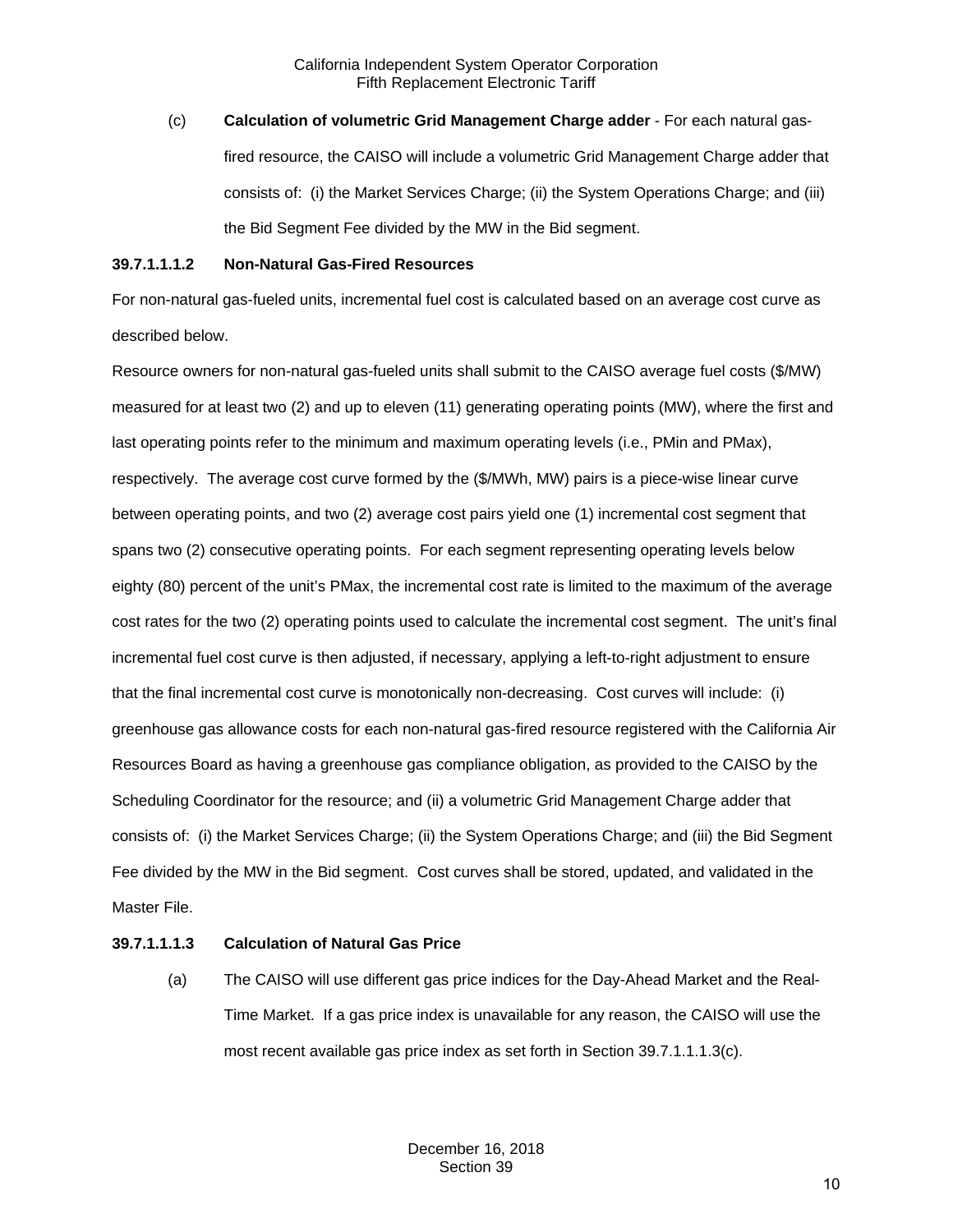(c) **Calculation of volumetric Grid Management Charge adder** - For each natural gasfired resource, the CAISO will include a volumetric Grid Management Charge adder that consists of: (i) the Market Services Charge; (ii) the System Operations Charge; and (iii) the Bid Segment Fee divided by the MW in the Bid segment.

## **39.7.1.1.1.2 Non-Natural Gas-Fired Resources**

For non-natural gas-fueled units, incremental fuel cost is calculated based on an average cost curve as described below.

Resource owners for non-natural gas-fueled units shall submit to the CAISO average fuel costs (\$/MW) measured for at least two (2) and up to eleven (11) generating operating points (MW), where the first and last operating points refer to the minimum and maximum operating levels (i.e., PMin and PMax), respectively. The average cost curve formed by the (\$/MWh, MW) pairs is a piece-wise linear curve between operating points, and two (2) average cost pairs yield one (1) incremental cost segment that spans two (2) consecutive operating points. For each segment representing operating levels below eighty (80) percent of the unit's PMax, the incremental cost rate is limited to the maximum of the average cost rates for the two (2) operating points used to calculate the incremental cost segment. The unit's final incremental fuel cost curve is then adjusted, if necessary, applying a left-to-right adjustment to ensure that the final incremental cost curve is monotonically non-decreasing. Cost curves will include: (i) greenhouse gas allowance costs for each non-natural gas-fired resource registered with the California Air Resources Board as having a greenhouse gas compliance obligation, as provided to the CAISO by the Scheduling Coordinator for the resource; and (ii) a volumetric Grid Management Charge adder that consists of: (i) the Market Services Charge; (ii) the System Operations Charge; and (iii) the Bid Segment Fee divided by the MW in the Bid segment. Cost curves shall be stored, updated, and validated in the Master File.

## **39.7.1.1.1.3 Calculation of Natural Gas Price**

(a) The CAISO will use different gas price indices for the Day-Ahead Market and the Real-Time Market. If a gas price index is unavailable for any reason, the CAISO will use the most recent available gas price index as set forth in Section 39.7.1.1.1.3(c).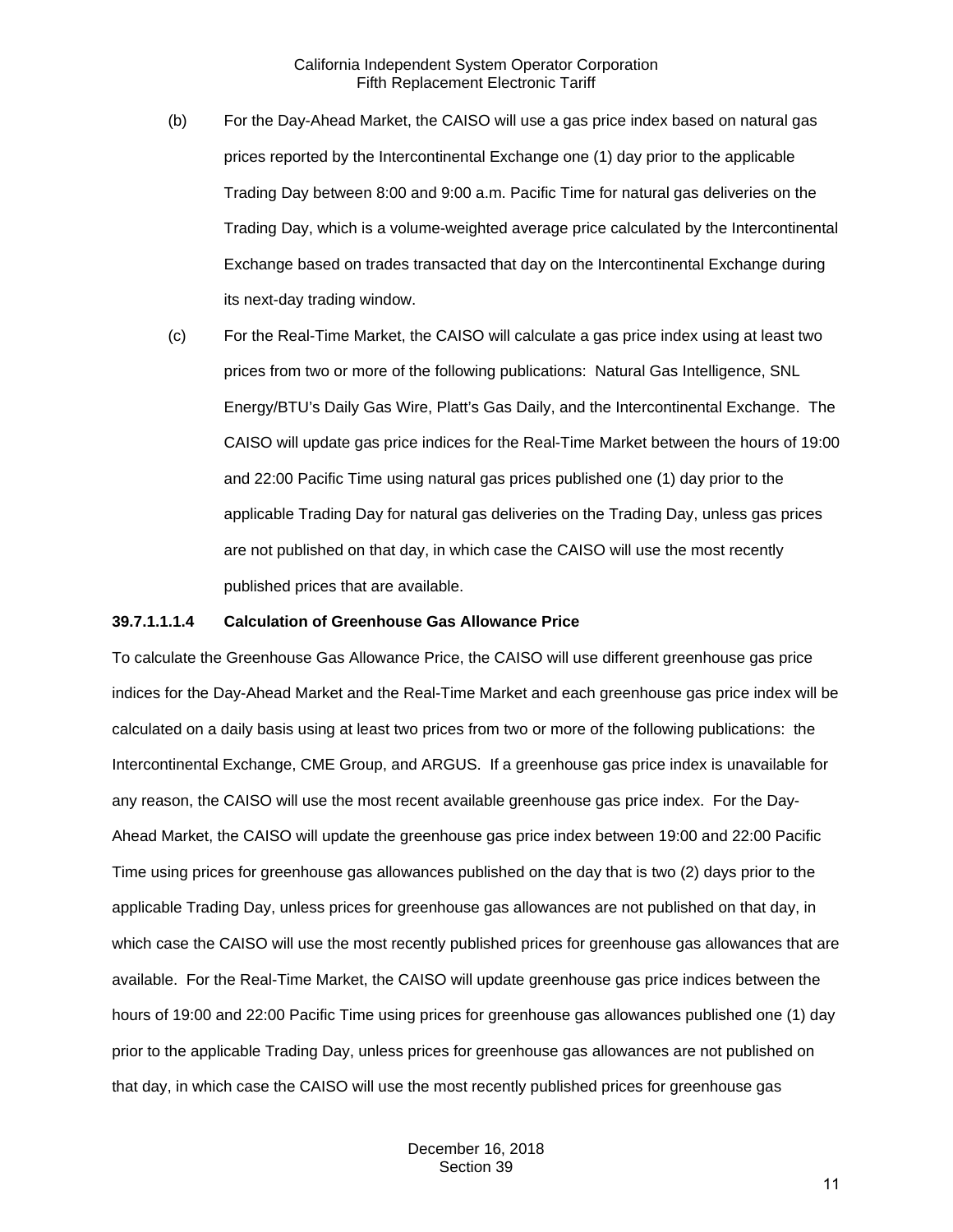- (b) For the Day-Ahead Market, the CAISO will use a gas price index based on natural gas prices reported by the Intercontinental Exchange one (1) day prior to the applicable Trading Day between 8:00 and 9:00 a.m. Pacific Time for natural gas deliveries on the Trading Day, which is a volume-weighted average price calculated by the Intercontinental Exchange based on trades transacted that day on the Intercontinental Exchange during its next-day trading window.
- (c) For the Real-Time Market, the CAISO will calculate a gas price index using at least two prices from two or more of the following publications: Natural Gas Intelligence, SNL Energy/BTU's Daily Gas Wire, Platt's Gas Daily, and the Intercontinental Exchange. The CAISO will update gas price indices for the Real-Time Market between the hours of 19:00 and 22:00 Pacific Time using natural gas prices published one (1) day prior to the applicable Trading Day for natural gas deliveries on the Trading Day, unless gas prices are not published on that day, in which case the CAISO will use the most recently published prices that are available.

#### **39.7.1.1.1.4 Calculation of Greenhouse Gas Allowance Price**

To calculate the Greenhouse Gas Allowance Price, the CAISO will use different greenhouse gas price indices for the Day-Ahead Market and the Real-Time Market and each greenhouse gas price index will be calculated on a daily basis using at least two prices from two or more of the following publications: the Intercontinental Exchange, CME Group, and ARGUS. If a greenhouse gas price index is unavailable for any reason, the CAISO will use the most recent available greenhouse gas price index. For the Day-Ahead Market, the CAISO will update the greenhouse gas price index between 19:00 and 22:00 Pacific Time using prices for greenhouse gas allowances published on the day that is two (2) days prior to the applicable Trading Day, unless prices for greenhouse gas allowances are not published on that day, in which case the CAISO will use the most recently published prices for greenhouse gas allowances that are available. For the Real-Time Market, the CAISO will update greenhouse gas price indices between the hours of 19:00 and 22:00 Pacific Time using prices for greenhouse gas allowances published one (1) day prior to the applicable Trading Day, unless prices for greenhouse gas allowances are not published on that day, in which case the CAISO will use the most recently published prices for greenhouse gas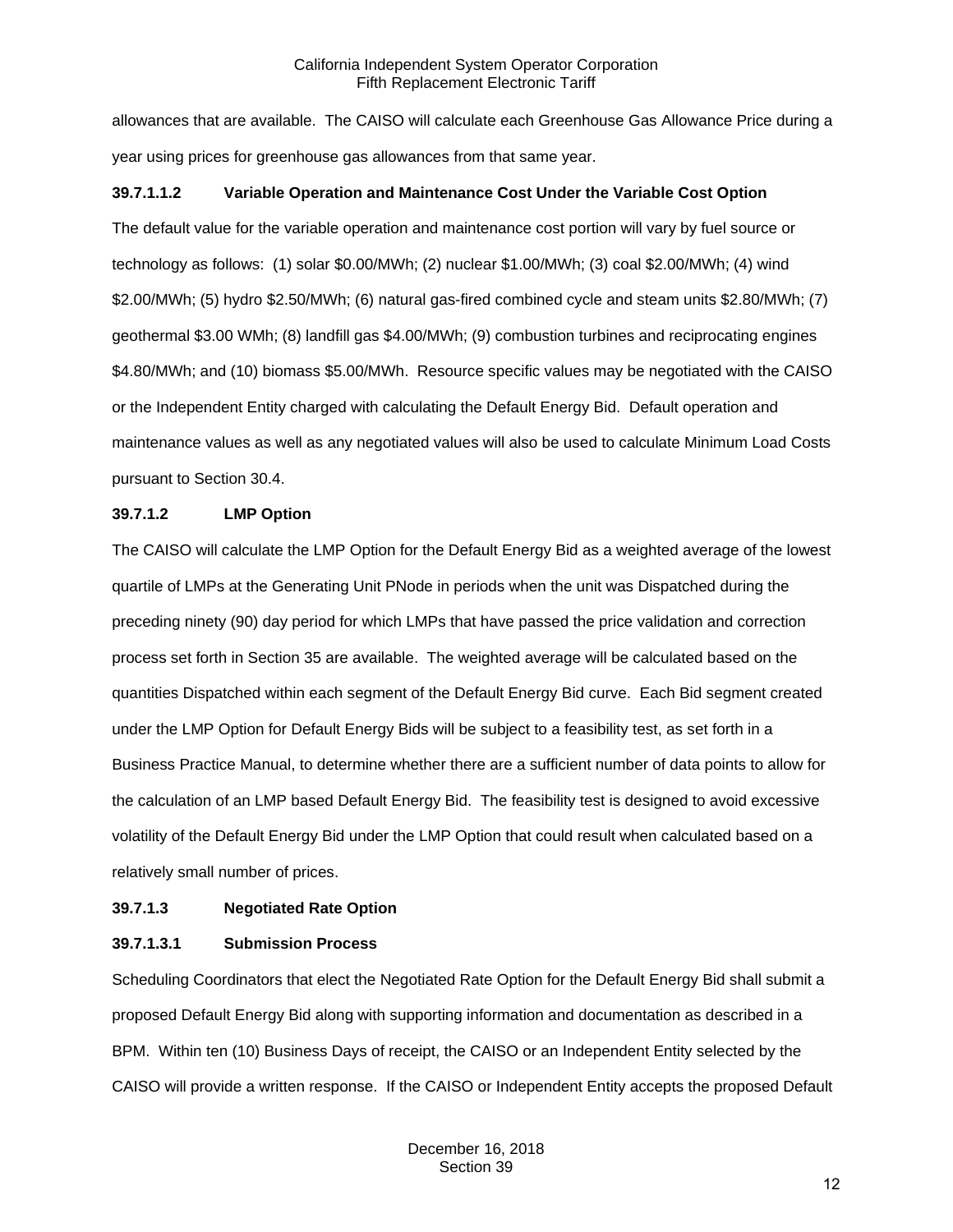allowances that are available. The CAISO will calculate each Greenhouse Gas Allowance Price during a year using prices for greenhouse gas allowances from that same year.

## **39.7.1.1.2 Variable Operation and Maintenance Cost Under the Variable Cost Option**

The default value for the variable operation and maintenance cost portion will vary by fuel source or technology as follows: (1) solar \$0.00/MWh; (2) nuclear \$1.00/MWh; (3) coal \$2.00/MWh; (4) wind \$2.00/MWh; (5) hydro \$2.50/MWh; (6) natural gas-fired combined cycle and steam units \$2.80/MWh; (7) geothermal \$3.00 WMh; (8) landfill gas \$4.00/MWh; (9) combustion turbines and reciprocating engines \$4.80/MWh; and (10) biomass \$5.00/MWh. Resource specific values may be negotiated with the CAISO or the Independent Entity charged with calculating the Default Energy Bid. Default operation and maintenance values as well as any negotiated values will also be used to calculate Minimum Load Costs pursuant to Section 30.4.

## **39.7.1.2 LMP Option**

The CAISO will calculate the LMP Option for the Default Energy Bid as a weighted average of the lowest quartile of LMPs at the Generating Unit PNode in periods when the unit was Dispatched during the preceding ninety (90) day period for which LMPs that have passed the price validation and correction process set forth in Section 35 are available. The weighted average will be calculated based on the quantities Dispatched within each segment of the Default Energy Bid curve. Each Bid segment created under the LMP Option for Default Energy Bids will be subject to a feasibility test, as set forth in a Business Practice Manual, to determine whether there are a sufficient number of data points to allow for the calculation of an LMP based Default Energy Bid. The feasibility test is designed to avoid excessive volatility of the Default Energy Bid under the LMP Option that could result when calculated based on a relatively small number of prices.

## **39.7.1.3 Negotiated Rate Option**

## **39.7.1.3.1 Submission Process**

Scheduling Coordinators that elect the Negotiated Rate Option for the Default Energy Bid shall submit a proposed Default Energy Bid along with supporting information and documentation as described in a BPM. Within ten (10) Business Days of receipt, the CAISO or an Independent Entity selected by the CAISO will provide a written response. If the CAISO or Independent Entity accepts the proposed Default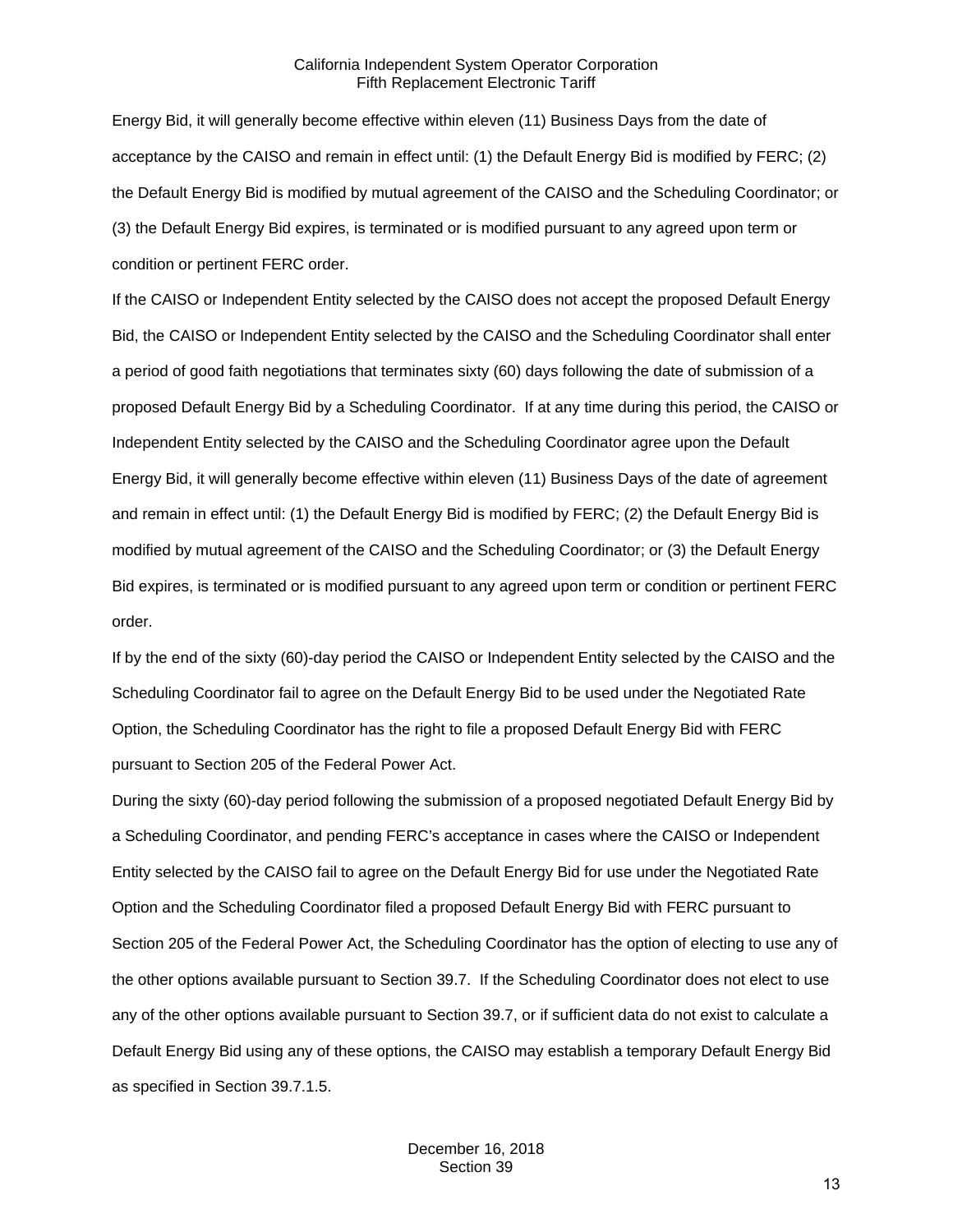Energy Bid, it will generally become effective within eleven (11) Business Days from the date of acceptance by the CAISO and remain in effect until: (1) the Default Energy Bid is modified by FERC; (2) the Default Energy Bid is modified by mutual agreement of the CAISO and the Scheduling Coordinator; or (3) the Default Energy Bid expires, is terminated or is modified pursuant to any agreed upon term or condition or pertinent FERC order.

If the CAISO or Independent Entity selected by the CAISO does not accept the proposed Default Energy Bid, the CAISO or Independent Entity selected by the CAISO and the Scheduling Coordinator shall enter a period of good faith negotiations that terminates sixty (60) days following the date of submission of a proposed Default Energy Bid by a Scheduling Coordinator. If at any time during this period, the CAISO or Independent Entity selected by the CAISO and the Scheduling Coordinator agree upon the Default Energy Bid, it will generally become effective within eleven (11) Business Days of the date of agreement and remain in effect until: (1) the Default Energy Bid is modified by FERC; (2) the Default Energy Bid is modified by mutual agreement of the CAISO and the Scheduling Coordinator; or (3) the Default Energy Bid expires, is terminated or is modified pursuant to any agreed upon term or condition or pertinent FERC order.

If by the end of the sixty (60)-day period the CAISO or Independent Entity selected by the CAISO and the Scheduling Coordinator fail to agree on the Default Energy Bid to be used under the Negotiated Rate Option, the Scheduling Coordinator has the right to file a proposed Default Energy Bid with FERC pursuant to Section 205 of the Federal Power Act.

During the sixty (60)-day period following the submission of a proposed negotiated Default Energy Bid by a Scheduling Coordinator, and pending FERC's acceptance in cases where the CAISO or Independent Entity selected by the CAISO fail to agree on the Default Energy Bid for use under the Negotiated Rate Option and the Scheduling Coordinator filed a proposed Default Energy Bid with FERC pursuant to Section 205 of the Federal Power Act, the Scheduling Coordinator has the option of electing to use any of the other options available pursuant to Section 39.7. If the Scheduling Coordinator does not elect to use any of the other options available pursuant to Section 39.7, or if sufficient data do not exist to calculate a Default Energy Bid using any of these options, the CAISO may establish a temporary Default Energy Bid as specified in Section 39.7.1.5.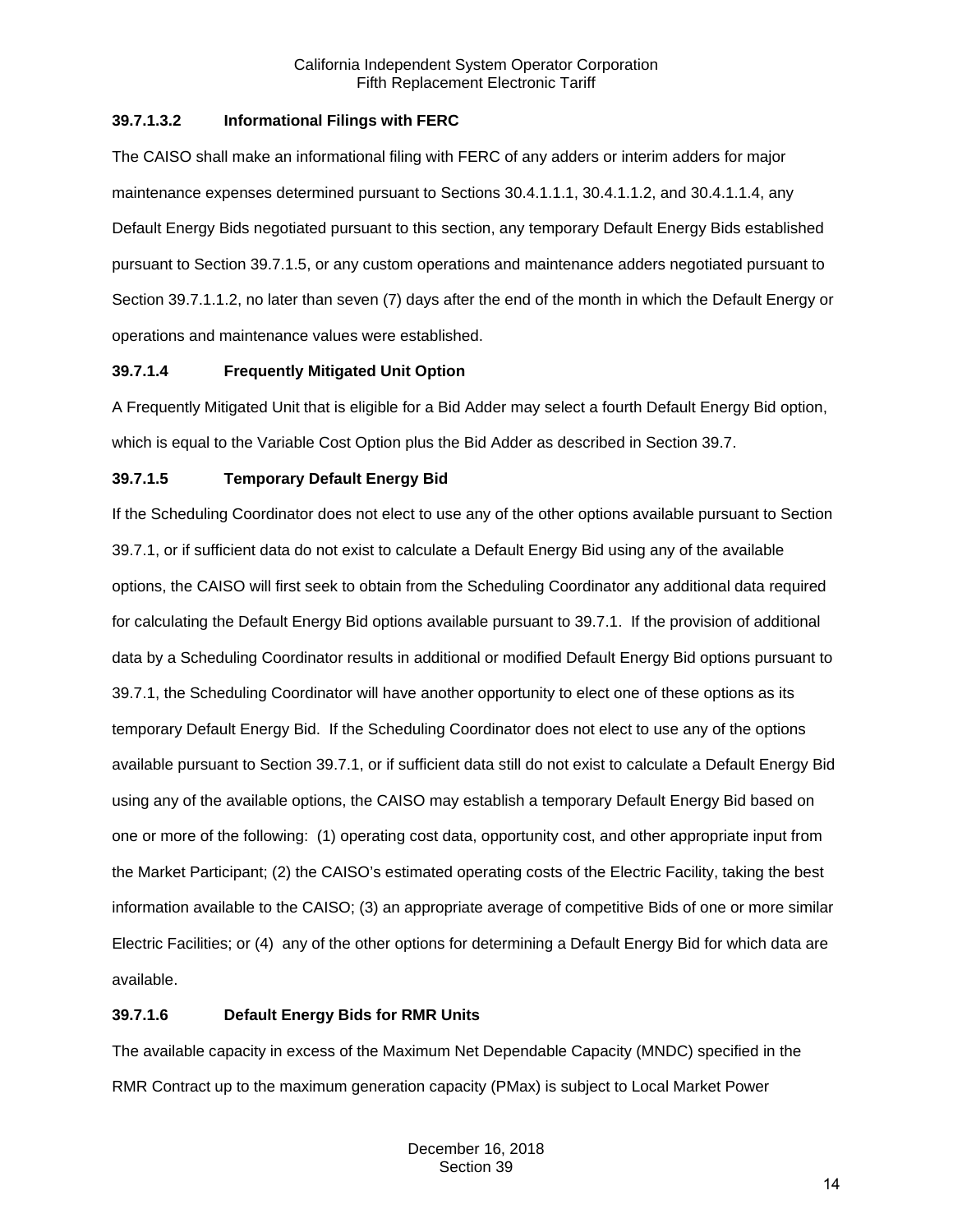## **39.7.1.3.2 Informational Filings with FERC**

The CAISO shall make an informational filing with FERC of any adders or interim adders for major maintenance expenses determined pursuant to Sections 30.4.1.1.1, 30.4.1.1.2, and 30.4.1.1.4, any Default Energy Bids negotiated pursuant to this section, any temporary Default Energy Bids established pursuant to Section 39.7.1.5, or any custom operations and maintenance adders negotiated pursuant to Section 39.7.1.1.2, no later than seven (7) days after the end of the month in which the Default Energy or operations and maintenance values were established.

## **39.7.1.4 Frequently Mitigated Unit Option**

A Frequently Mitigated Unit that is eligible for a Bid Adder may select a fourth Default Energy Bid option, which is equal to the Variable Cost Option plus the Bid Adder as described in Section 39.7.

# **39.7.1.5 Temporary Default Energy Bid**

If the Scheduling Coordinator does not elect to use any of the other options available pursuant to Section 39.7.1, or if sufficient data do not exist to calculate a Default Energy Bid using any of the available options, the CAISO will first seek to obtain from the Scheduling Coordinator any additional data required for calculating the Default Energy Bid options available pursuant to 39.7.1. If the provision of additional data by a Scheduling Coordinator results in additional or modified Default Energy Bid options pursuant to 39.7.1, the Scheduling Coordinator will have another opportunity to elect one of these options as its temporary Default Energy Bid. If the Scheduling Coordinator does not elect to use any of the options available pursuant to Section 39.7.1, or if sufficient data still do not exist to calculate a Default Energy Bid using any of the available options, the CAISO may establish a temporary Default Energy Bid based on one or more of the following: (1) operating cost data, opportunity cost, and other appropriate input from the Market Participant; (2) the CAISO's estimated operating costs of the Electric Facility, taking the best information available to the CAISO; (3) an appropriate average of competitive Bids of one or more similar Electric Facilities; or (4) any of the other options for determining a Default Energy Bid for which data are available.

## **39.7.1.6 Default Energy Bids for RMR Units**

The available capacity in excess of the Maximum Net Dependable Capacity (MNDC) specified in the RMR Contract up to the maximum generation capacity (PMax) is subject to Local Market Power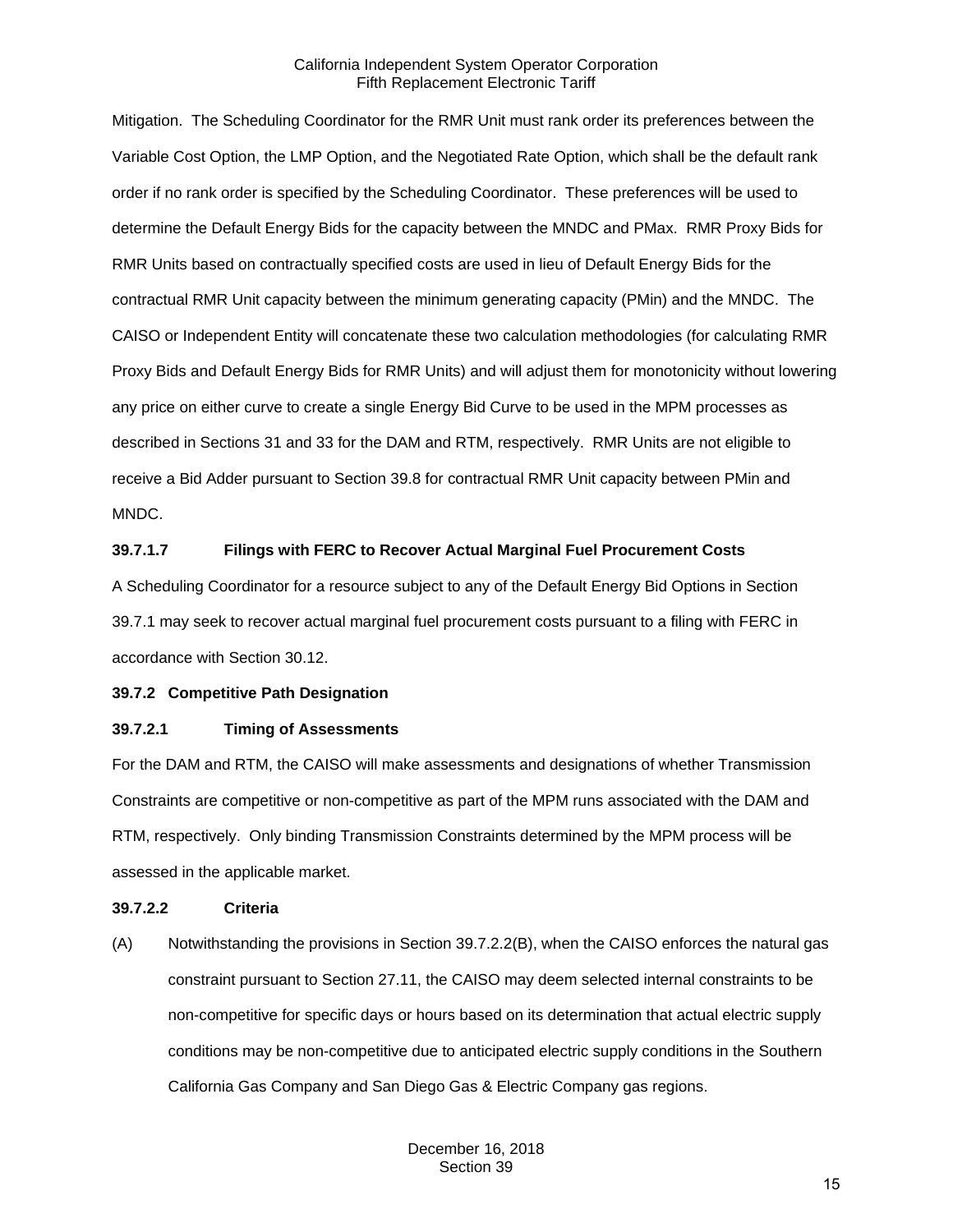Mitigation. The Scheduling Coordinator for the RMR Unit must rank order its preferences between the Variable Cost Option, the LMP Option, and the Negotiated Rate Option, which shall be the default rank order if no rank order is specified by the Scheduling Coordinator. These preferences will be used to determine the Default Energy Bids for the capacity between the MNDC and PMax. RMR Proxy Bids for RMR Units based on contractually specified costs are used in lieu of Default Energy Bids for the contractual RMR Unit capacity between the minimum generating capacity (PMin) and the MNDC. The CAISO or Independent Entity will concatenate these two calculation methodologies (for calculating RMR Proxy Bids and Default Energy Bids for RMR Units) and will adjust them for monotonicity without lowering any price on either curve to create a single Energy Bid Curve to be used in the MPM processes as described in Sections 31 and 33 for the DAM and RTM, respectively. RMR Units are not eligible to receive a Bid Adder pursuant to Section 39.8 for contractual RMR Unit capacity between PMin and MNDC.

## **39.7.1.7 Filings with FERC to Recover Actual Marginal Fuel Procurement Costs**

A Scheduling Coordinator for a resource subject to any of the Default Energy Bid Options in Section 39.7.1 may seek to recover actual marginal fuel procurement costs pursuant to a filing with FERC in accordance with Section 30.12.

#### <span id="page-14-0"></span>**39.7.2 Competitive Path Designation**

#### **39.7.2.1 Timing of Assessments**

For the DAM and RTM, the CAISO will make assessments and designations of whether Transmission Constraints are competitive or non-competitive as part of the MPM runs associated with the DAM and RTM, respectively. Only binding Transmission Constraints determined by the MPM process will be assessed in the applicable market.

#### **39.7.2.2 Criteria**

(A) Notwithstanding the provisions in Section 39.7.2.2(B), when the CAISO enforces the natural gas constraint pursuant to Section 27.11, the CAISO may deem selected internal constraints to be non-competitive for specific days or hours based on its determination that actual electric supply conditions may be non-competitive due to anticipated electric supply conditions in the Southern California Gas Company and San Diego Gas & Electric Company gas regions.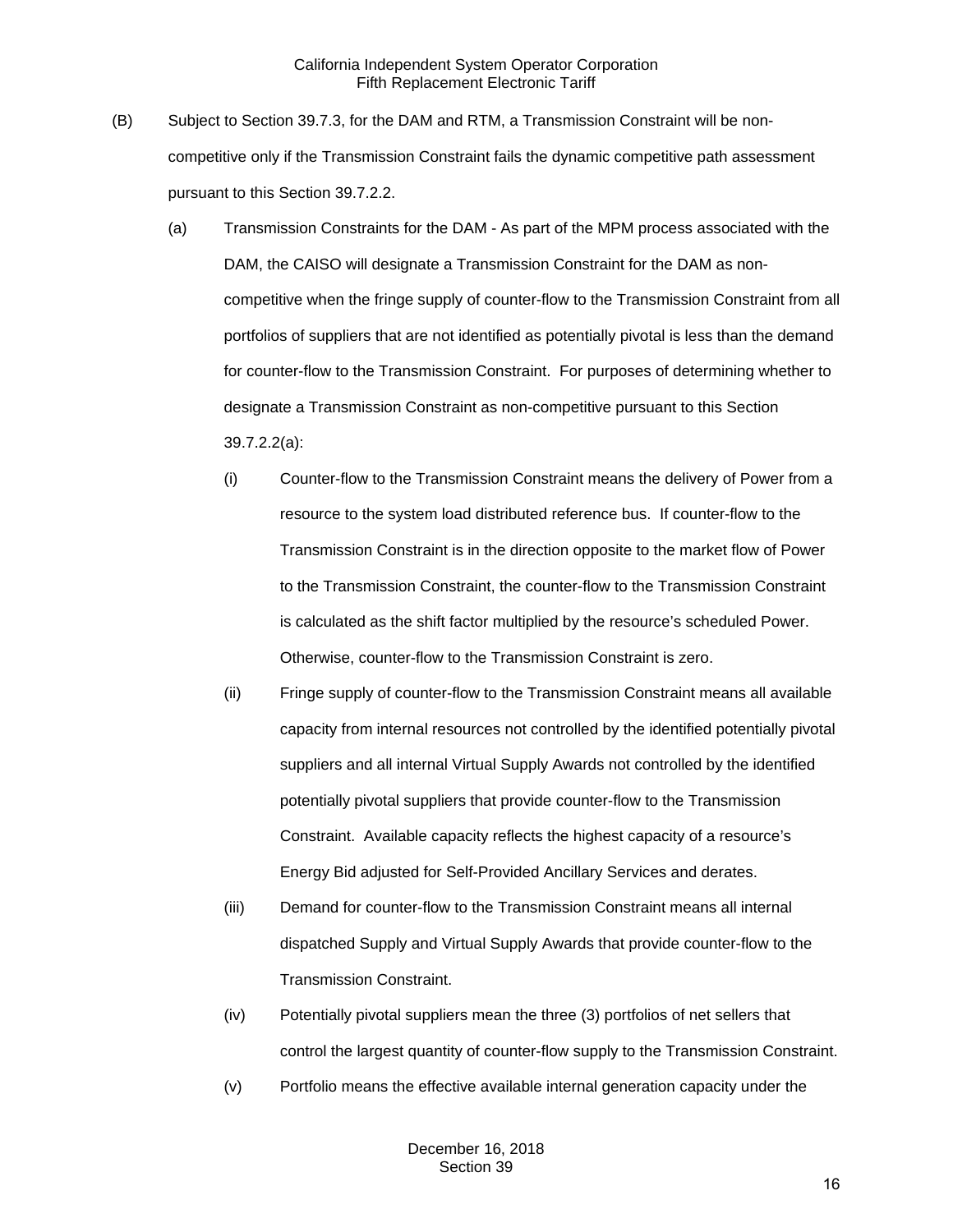- (B) Subject to Section 39.7.3, for the DAM and RTM, a Transmission Constraint will be noncompetitive only if the Transmission Constraint fails the dynamic competitive path assessment pursuant to this Section 39.7.2.2.
	- (a) Transmission Constraints for the DAM As part of the MPM process associated with the DAM, the CAISO will designate a Transmission Constraint for the DAM as noncompetitive when the fringe supply of counter-flow to the Transmission Constraint from all portfolios of suppliers that are not identified as potentially pivotal is less than the demand for counter-flow to the Transmission Constraint. For purposes of determining whether to designate a Transmission Constraint as non-competitive pursuant to this Section 39.7.2.2(a):
		- (i) Counter-flow to the Transmission Constraint means the delivery of Power from a resource to the system load distributed reference bus. If counter-flow to the Transmission Constraint is in the direction opposite to the market flow of Power to the Transmission Constraint, the counter-flow to the Transmission Constraint is calculated as the shift factor multiplied by the resource's scheduled Power. Otherwise, counter-flow to the Transmission Constraint is zero.
		- (ii) Fringe supply of counter-flow to the Transmission Constraint means all available capacity from internal resources not controlled by the identified potentially pivotal suppliers and all internal Virtual Supply Awards not controlled by the identified potentially pivotal suppliers that provide counter-flow to the Transmission Constraint. Available capacity reflects the highest capacity of a resource's Energy Bid adjusted for Self-Provided Ancillary Services and derates.
		- (iii) Demand for counter-flow to the Transmission Constraint means all internal dispatched Supply and Virtual Supply Awards that provide counter-flow to the Transmission Constraint.
		- (iv) Potentially pivotal suppliers mean the three (3) portfolios of net sellers that control the largest quantity of counter-flow supply to the Transmission Constraint.
		- (v) Portfolio means the effective available internal generation capacity under the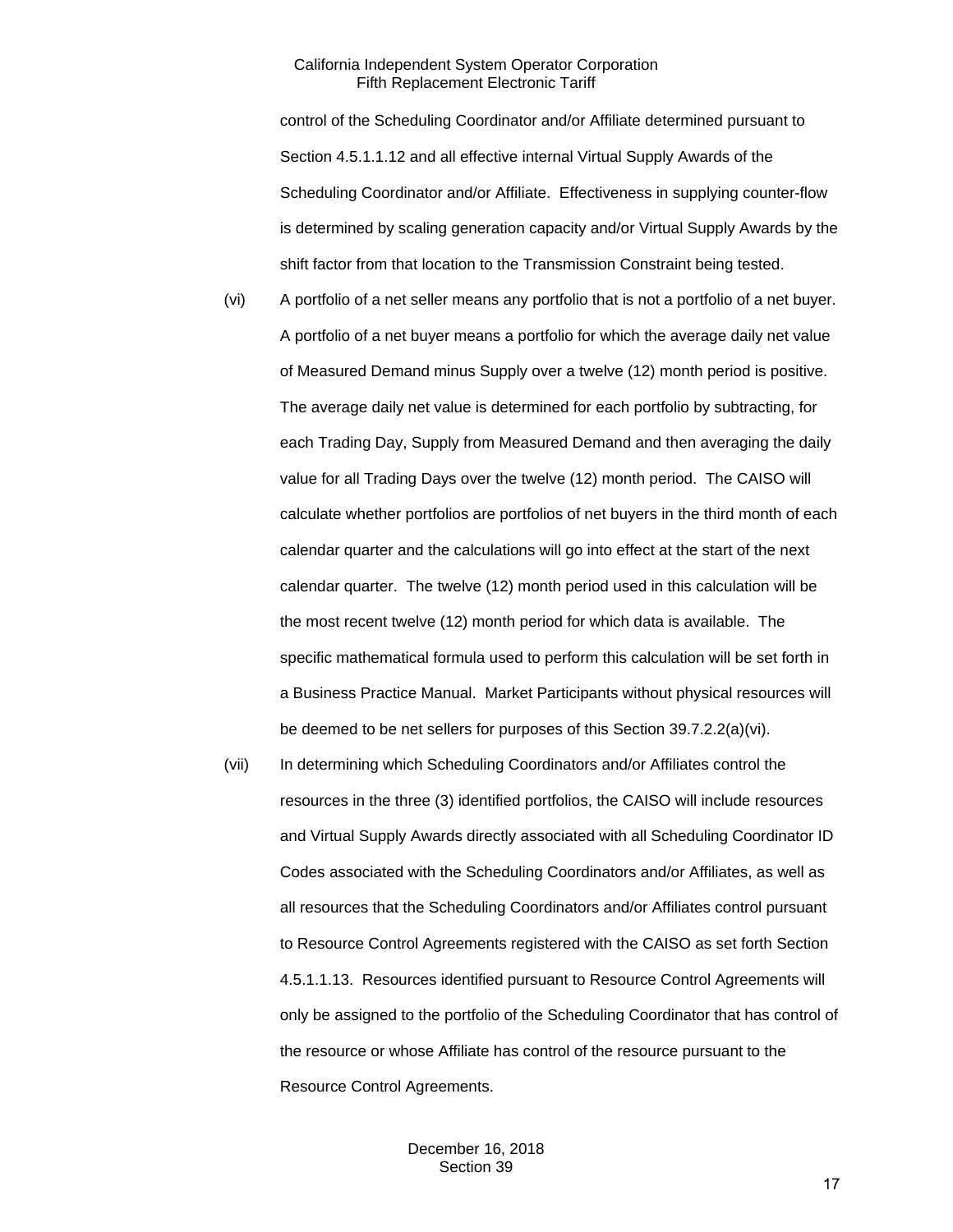control of the Scheduling Coordinator and/or Affiliate determined pursuant to Section 4.5.1.1.12 and all effective internal Virtual Supply Awards of the Scheduling Coordinator and/or Affiliate. Effectiveness in supplying counter-flow is determined by scaling generation capacity and/or Virtual Supply Awards by the shift factor from that location to the Transmission Constraint being tested.

- (vi) A portfolio of a net seller means any portfolio that is not a portfolio of a net buyer. A portfolio of a net buyer means a portfolio for which the average daily net value of Measured Demand minus Supply over a twelve (12) month period is positive. The average daily net value is determined for each portfolio by subtracting, for each Trading Day, Supply from Measured Demand and then averaging the daily value for all Trading Days over the twelve (12) month period. The CAISO will calculate whether portfolios are portfolios of net buyers in the third month of each calendar quarter and the calculations will go into effect at the start of the next calendar quarter. The twelve (12) month period used in this calculation will be the most recent twelve (12) month period for which data is available. The specific mathematical formula used to perform this calculation will be set forth in a Business Practice Manual. Market Participants without physical resources will be deemed to be net sellers for purposes of this Section 39.7.2.2(a)(vi).
- (vii) In determining which Scheduling Coordinators and/or Affiliates control the resources in the three (3) identified portfolios, the CAISO will include resources and Virtual Supply Awards directly associated with all Scheduling Coordinator ID Codes associated with the Scheduling Coordinators and/or Affiliates, as well as all resources that the Scheduling Coordinators and/or Affiliates control pursuant to Resource Control Agreements registered with the CAISO as set forth Section 4.5.1.1.13. Resources identified pursuant to Resource Control Agreements will only be assigned to the portfolio of the Scheduling Coordinator that has control of the resource or whose Affiliate has control of the resource pursuant to the Resource Control Agreements.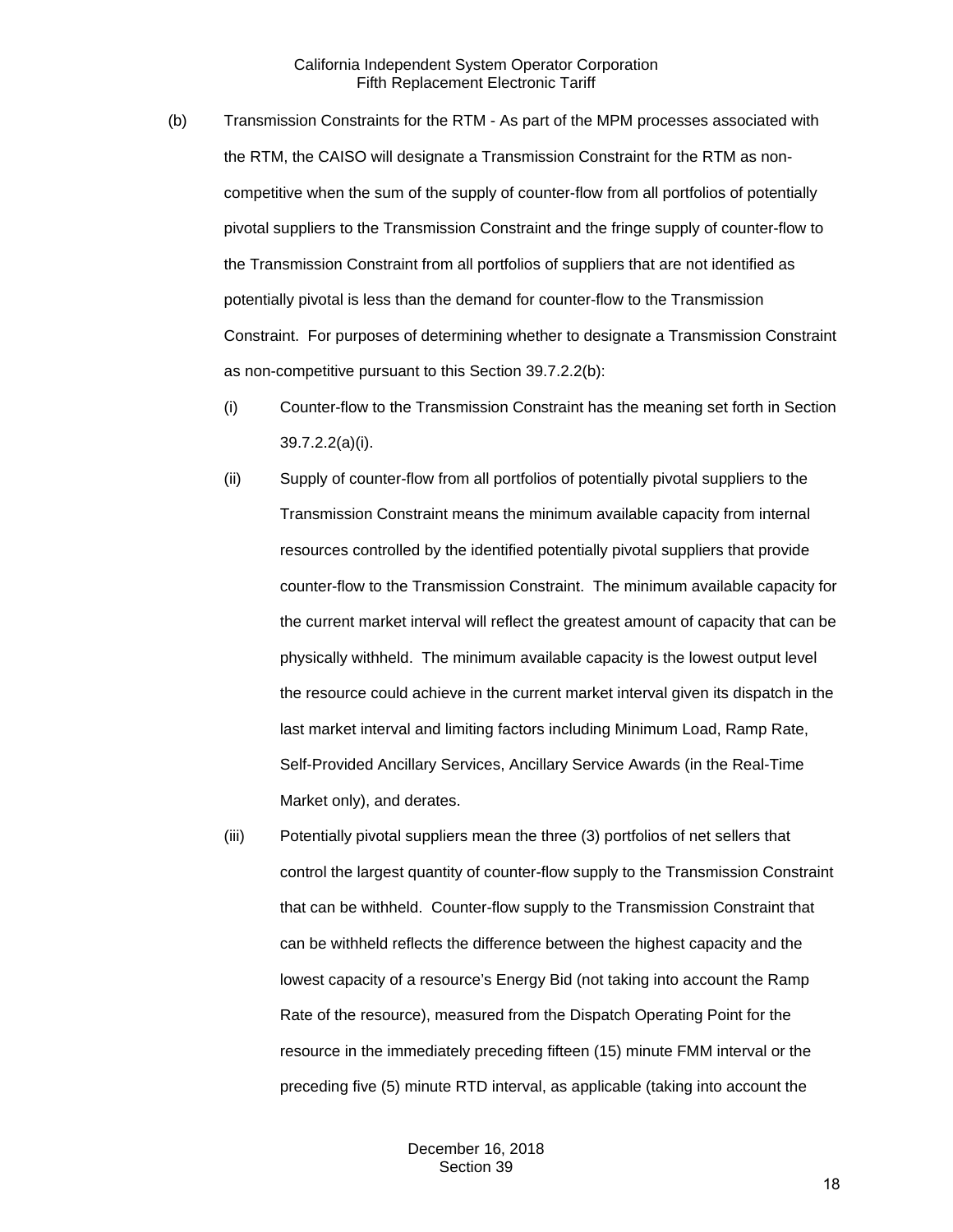- (b) Transmission Constraints for the RTM As part of the MPM processes associated with the RTM, the CAISO will designate a Transmission Constraint for the RTM as noncompetitive when the sum of the supply of counter-flow from all portfolios of potentially pivotal suppliers to the Transmission Constraint and the fringe supply of counter-flow to the Transmission Constraint from all portfolios of suppliers that are not identified as potentially pivotal is less than the demand for counter-flow to the Transmission Constraint. For purposes of determining whether to designate a Transmission Constraint as non-competitive pursuant to this Section 39.7.2.2(b):
	- (i) Counter-flow to the Transmission Constraint has the meaning set forth in Section 39.7.2.2(a)(i).
	- (ii) Supply of counter-flow from all portfolios of potentially pivotal suppliers to the Transmission Constraint means the minimum available capacity from internal resources controlled by the identified potentially pivotal suppliers that provide counter-flow to the Transmission Constraint. The minimum available capacity for the current market interval will reflect the greatest amount of capacity that can be physically withheld. The minimum available capacity is the lowest output level the resource could achieve in the current market interval given its dispatch in the last market interval and limiting factors including Minimum Load, Ramp Rate, Self-Provided Ancillary Services, Ancillary Service Awards (in the Real-Time Market only), and derates.
	- (iii) Potentially pivotal suppliers mean the three (3) portfolios of net sellers that control the largest quantity of counter-flow supply to the Transmission Constraint that can be withheld. Counter-flow supply to the Transmission Constraint that can be withheld reflects the difference between the highest capacity and the lowest capacity of a resource's Energy Bid (not taking into account the Ramp Rate of the resource), measured from the Dispatch Operating Point for the resource in the immediately preceding fifteen (15) minute FMM interval or the preceding five (5) minute RTD interval, as applicable (taking into account the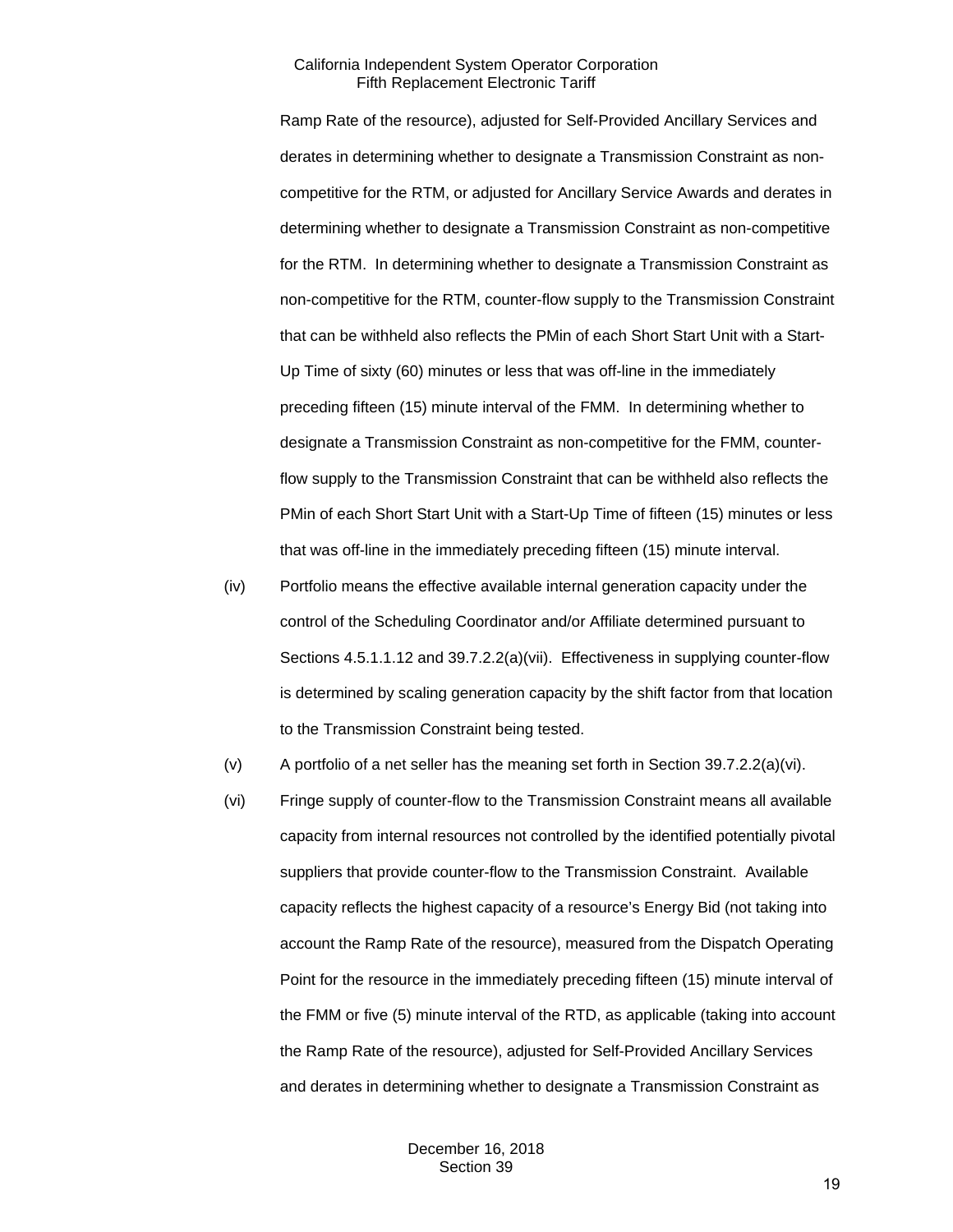Ramp Rate of the resource), adjusted for Self-Provided Ancillary Services and derates in determining whether to designate a Transmission Constraint as noncompetitive for the RTM, or adjusted for Ancillary Service Awards and derates in determining whether to designate a Transmission Constraint as non-competitive for the RTM. In determining whether to designate a Transmission Constraint as non-competitive for the RTM, counter-flow supply to the Transmission Constraint that can be withheld also reflects the PMin of each Short Start Unit with a Start-Up Time of sixty (60) minutes or less that was off-line in the immediately preceding fifteen (15) minute interval of the FMM. In determining whether to designate a Transmission Constraint as non-competitive for the FMM, counterflow supply to the Transmission Constraint that can be withheld also reflects the PMin of each Short Start Unit with a Start-Up Time of fifteen (15) minutes or less that was off-line in the immediately preceding fifteen (15) minute interval.

- (iv) Portfolio means the effective available internal generation capacity under the control of the Scheduling Coordinator and/or Affiliate determined pursuant to Sections 4.5.1.1.12 and 39.7.2.2(a)(vii). Effectiveness in supplying counter-flow is determined by scaling generation capacity by the shift factor from that location to the Transmission Constraint being tested.
- (v) A portfolio of a net seller has the meaning set forth in Section 39.7.2.2(a)(vi).
- (vi) Fringe supply of counter-flow to the Transmission Constraint means all available capacity from internal resources not controlled by the identified potentially pivotal suppliers that provide counter-flow to the Transmission Constraint. Available capacity reflects the highest capacity of a resource's Energy Bid (not taking into account the Ramp Rate of the resource), measured from the Dispatch Operating Point for the resource in the immediately preceding fifteen (15) minute interval of the FMM or five (5) minute interval of the RTD, as applicable (taking into account the Ramp Rate of the resource), adjusted for Self-Provided Ancillary Services and derates in determining whether to designate a Transmission Constraint as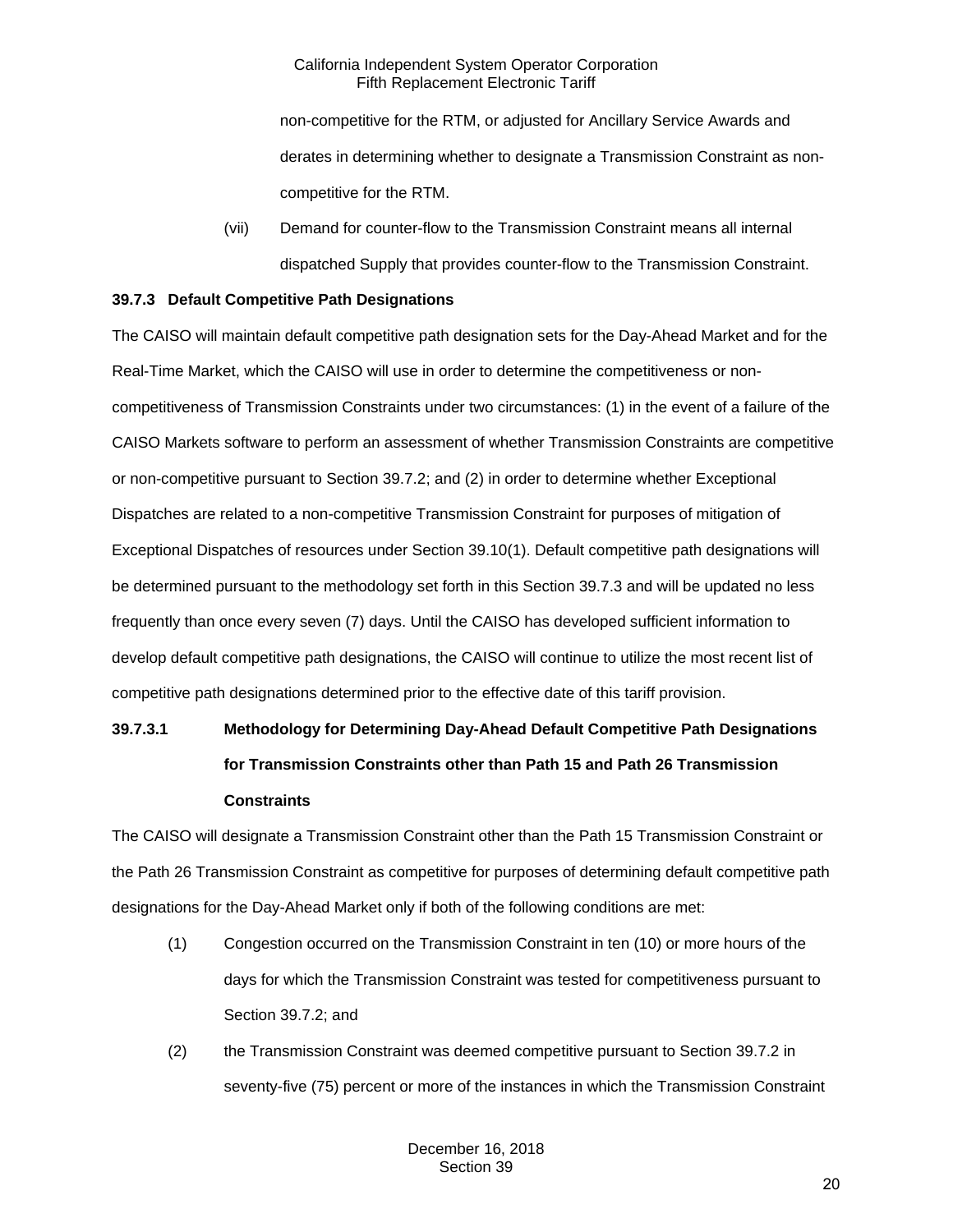non-competitive for the RTM, or adjusted for Ancillary Service Awards and derates in determining whether to designate a Transmission Constraint as noncompetitive for the RTM.

(vii) Demand for counter-flow to the Transmission Constraint means all internal dispatched Supply that provides counter-flow to the Transmission Constraint.

## <span id="page-19-0"></span>**39.7.3 Default Competitive Path Designations**

The CAISO will maintain default competitive path designation sets for the Day-Ahead Market and for the Real-Time Market, which the CAISO will use in order to determine the competitiveness or noncompetitiveness of Transmission Constraints under two circumstances: (1) in the event of a failure of the CAISO Markets software to perform an assessment of whether Transmission Constraints are competitive or non-competitive pursuant to Section 39.7.2; and (2) in order to determine whether Exceptional Dispatches are related to a non-competitive Transmission Constraint for purposes of mitigation of Exceptional Dispatches of resources under Section 39.10(1). Default competitive path designations will be determined pursuant to the methodology set forth in this Section 39.7.3 and will be updated no less frequently than once every seven (7) days. Until the CAISO has developed sufficient information to develop default competitive path designations, the CAISO will continue to utilize the most recent list of competitive path designations determined prior to the effective date of this tariff provision.

# **39.7.3.1 Methodology for Determining Day-Ahead Default Competitive Path Designations for Transmission Constraints other than Path 15 and Path 26 Transmission Constraints**

The CAISO will designate a Transmission Constraint other than the Path 15 Transmission Constraint or the Path 26 Transmission Constraint as competitive for purposes of determining default competitive path designations for the Day-Ahead Market only if both of the following conditions are met:

- (1) Congestion occurred on the Transmission Constraint in ten (10) or more hours of the days for which the Transmission Constraint was tested for competitiveness pursuant to Section 39.7.2; and
- (2) the Transmission Constraint was deemed competitive pursuant to Section 39.7.2 in seventy-five (75) percent or more of the instances in which the Transmission Constraint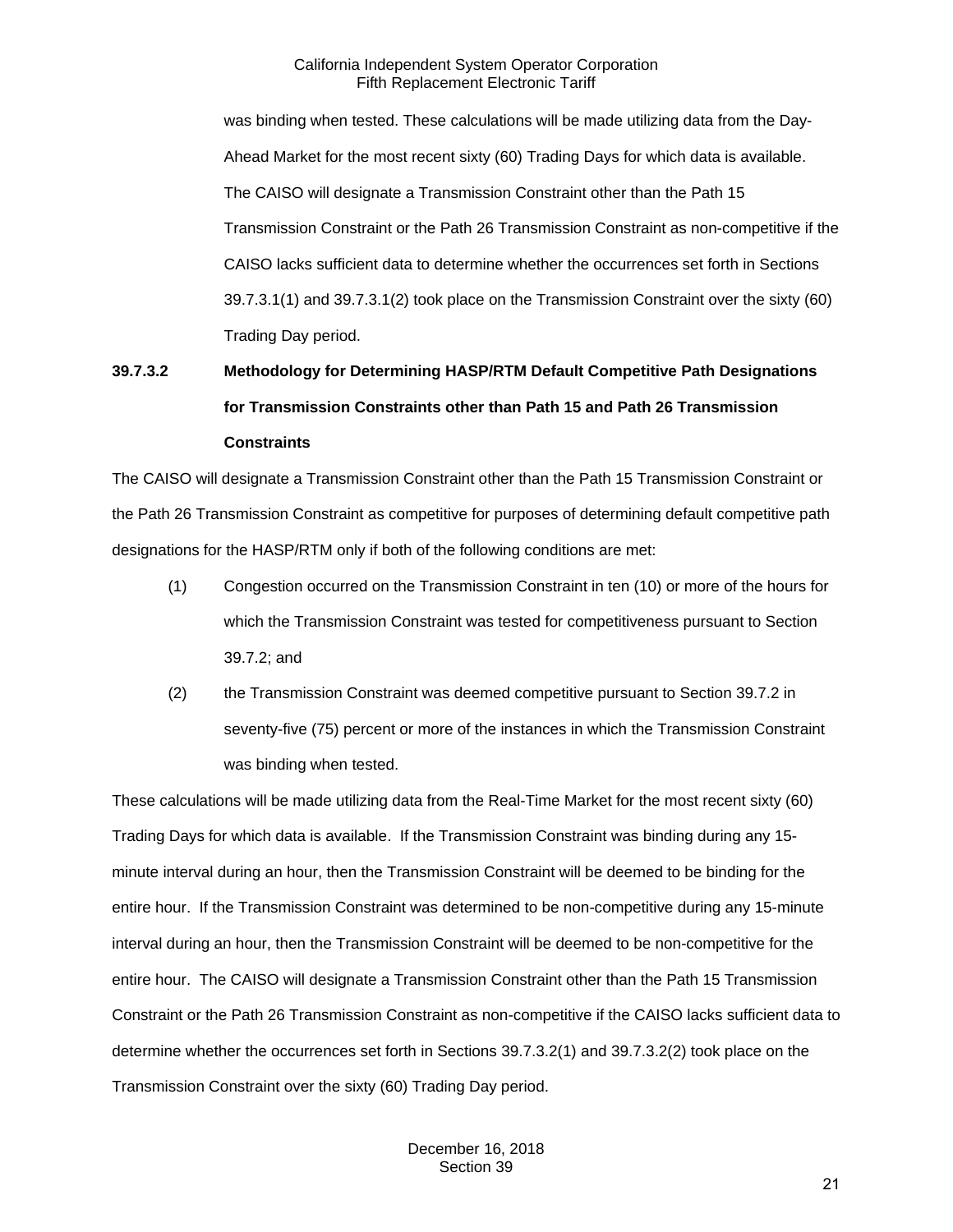was binding when tested. These calculations will be made utilizing data from the Day-Ahead Market for the most recent sixty (60) Trading Days for which data is available. The CAISO will designate a Transmission Constraint other than the Path 15 Transmission Constraint or the Path 26 Transmission Constraint as non-competitive if the CAISO lacks sufficient data to determine whether the occurrences set forth in Sections 39.7.3.1(1) and 39.7.3.1(2) took place on the Transmission Constraint over the sixty (60) Trading Day period.

# **39.7.3.2 Methodology for Determining HASP/RTM Default Competitive Path Designations for Transmission Constraints other than Path 15 and Path 26 Transmission Constraints**

The CAISO will designate a Transmission Constraint other than the Path 15 Transmission Constraint or the Path 26 Transmission Constraint as competitive for purposes of determining default competitive path designations for the HASP/RTM only if both of the following conditions are met:

- (1) Congestion occurred on the Transmission Constraint in ten (10) or more of the hours for which the Transmission Constraint was tested for competitiveness pursuant to Section 39.7.2; and
- (2) the Transmission Constraint was deemed competitive pursuant to Section 39.7.2 in seventy-five (75) percent or more of the instances in which the Transmission Constraint was binding when tested.

These calculations will be made utilizing data from the Real-Time Market for the most recent sixty (60) Trading Days for which data is available. If the Transmission Constraint was binding during any 15 minute interval during an hour, then the Transmission Constraint will be deemed to be binding for the entire hour. If the Transmission Constraint was determined to be non-competitive during any 15-minute interval during an hour, then the Transmission Constraint will be deemed to be non-competitive for the entire hour. The CAISO will designate a Transmission Constraint other than the Path 15 Transmission Constraint or the Path 26 Transmission Constraint as non-competitive if the CAISO lacks sufficient data to determine whether the occurrences set forth in Sections 39.7.3.2(1) and 39.7.3.2(2) took place on the Transmission Constraint over the sixty (60) Trading Day period.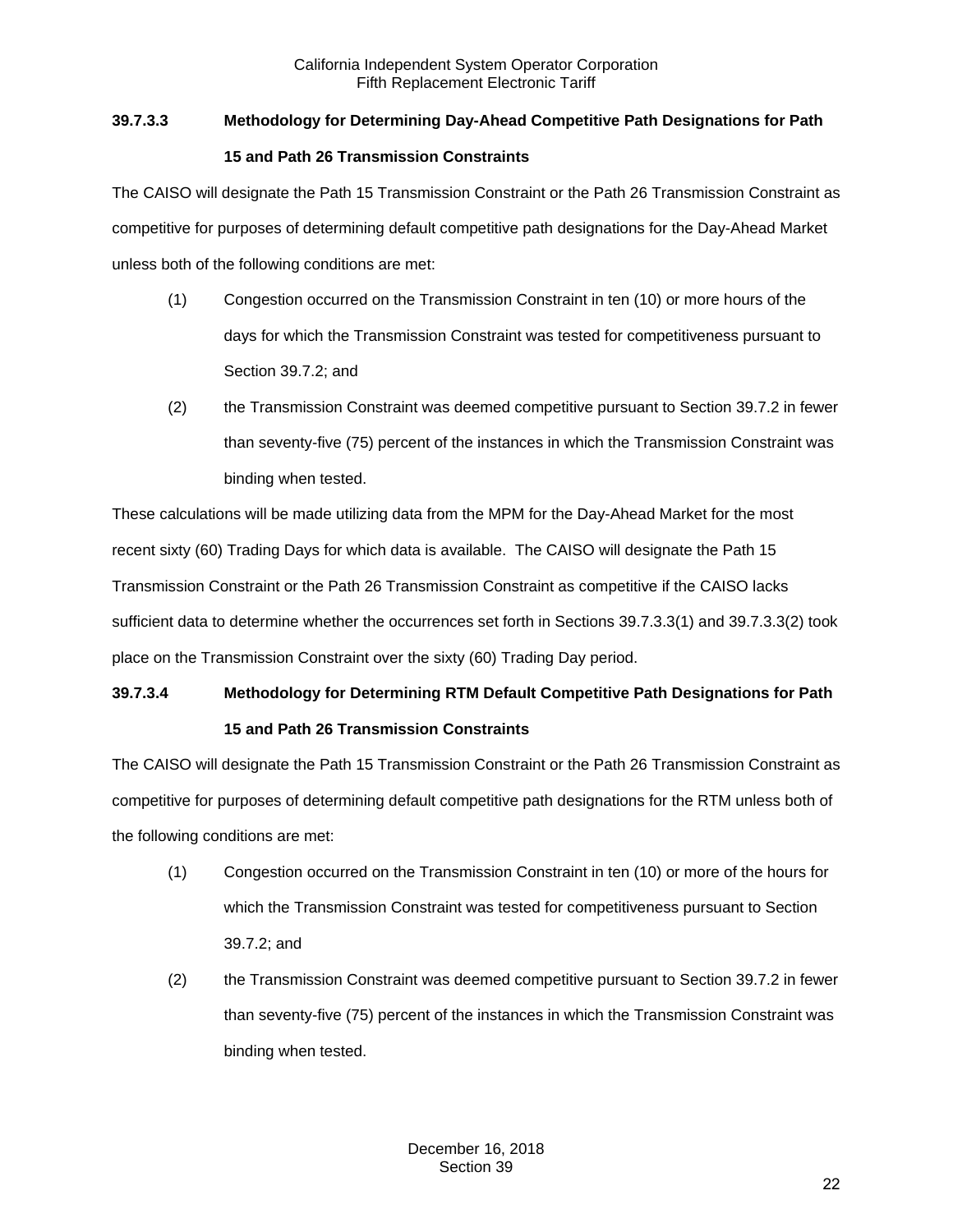# **39.7.3.3 Methodology for Determining Day-Ahead Competitive Path Designations for Path**

## **15 and Path 26 Transmission Constraints**

The CAISO will designate the Path 15 Transmission Constraint or the Path 26 Transmission Constraint as competitive for purposes of determining default competitive path designations for the Day-Ahead Market unless both of the following conditions are met:

- (1) Congestion occurred on the Transmission Constraint in ten (10) or more hours of the days for which the Transmission Constraint was tested for competitiveness pursuant to Section 39.7.2; and
- (2) the Transmission Constraint was deemed competitive pursuant to Section 39.7.2 in fewer than seventy-five (75) percent of the instances in which the Transmission Constraint was binding when tested.

These calculations will be made utilizing data from the MPM for the Day-Ahead Market for the most recent sixty (60) Trading Days for which data is available. The CAISO will designate the Path 15 Transmission Constraint or the Path 26 Transmission Constraint as competitive if the CAISO lacks sufficient data to determine whether the occurrences set forth in Sections 39.7.3.3(1) and 39.7.3.3(2) took place on the Transmission Constraint over the sixty (60) Trading Day period.

# **39.7.3.4 Methodology for Determining RTM Default Competitive Path Designations for Path 15 and Path 26 Transmission Constraints**

The CAISO will designate the Path 15 Transmission Constraint or the Path 26 Transmission Constraint as competitive for purposes of determining default competitive path designations for the RTM unless both of the following conditions are met:

- (1) Congestion occurred on the Transmission Constraint in ten (10) or more of the hours for which the Transmission Constraint was tested for competitiveness pursuant to Section 39.7.2; and
- (2) the Transmission Constraint was deemed competitive pursuant to Section 39.7.2 in fewer than seventy-five (75) percent of the instances in which the Transmission Constraint was binding when tested.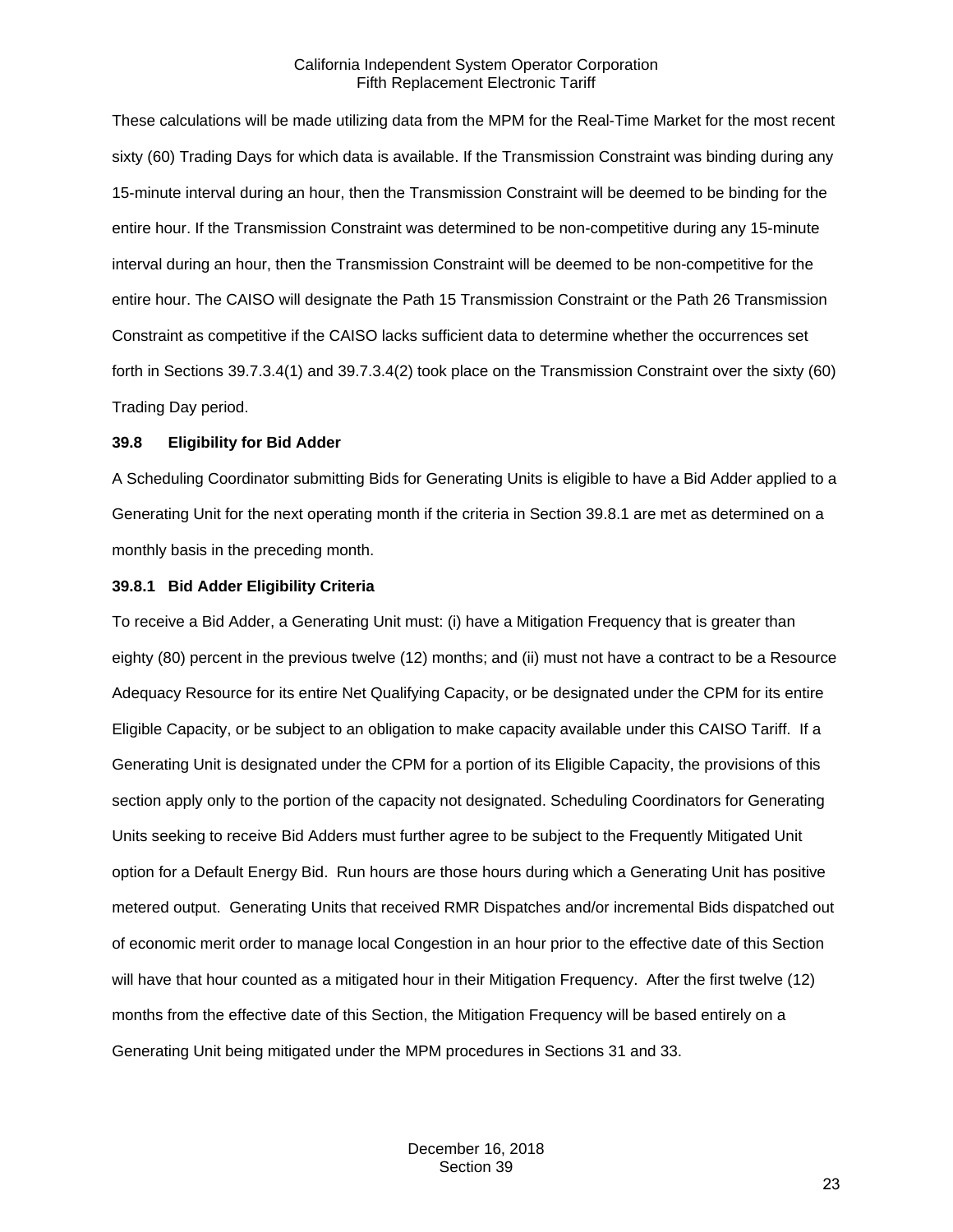These calculations will be made utilizing data from the MPM for the Real-Time Market for the most recent sixty (60) Trading Days for which data is available. If the Transmission Constraint was binding during any 15-minute interval during an hour, then the Transmission Constraint will be deemed to be binding for the entire hour. If the Transmission Constraint was determined to be non-competitive during any 15-minute interval during an hour, then the Transmission Constraint will be deemed to be non-competitive for the entire hour. The CAISO will designate the Path 15 Transmission Constraint or the Path 26 Transmission Constraint as competitive if the CAISO lacks sufficient data to determine whether the occurrences set forth in Sections 39.7.3.4(1) and 39.7.3.4(2) took place on the Transmission Constraint over the sixty (60) Trading Day period.

#### <span id="page-22-0"></span>**39.8 Eligibility for Bid Adder**

A Scheduling Coordinator submitting Bids for Generating Units is eligible to have a Bid Adder applied to a Generating Unit for the next operating month if the criteria in Section 39.8.1 are met as determined on a monthly basis in the preceding month.

#### <span id="page-22-1"></span>**39.8.1 Bid Adder Eligibility Criteria**

To receive a Bid Adder, a Generating Unit must: (i) have a Mitigation Frequency that is greater than eighty (80) percent in the previous twelve (12) months; and (ii) must not have a contract to be a Resource Adequacy Resource for its entire Net Qualifying Capacity, or be designated under the CPM for its entire Eligible Capacity, or be subject to an obligation to make capacity available under this CAISO Tariff. If a Generating Unit is designated under the CPM for a portion of its Eligible Capacity, the provisions of this section apply only to the portion of the capacity not designated. Scheduling Coordinators for Generating Units seeking to receive Bid Adders must further agree to be subject to the Frequently Mitigated Unit option for a Default Energy Bid. Run hours are those hours during which a Generating Unit has positive metered output. Generating Units that received RMR Dispatches and/or incremental Bids dispatched out of economic merit order to manage local Congestion in an hour prior to the effective date of this Section will have that hour counted as a mitigated hour in their Mitigation Frequency. After the first twelve (12) months from the effective date of this Section, the Mitigation Frequency will be based entirely on a Generating Unit being mitigated under the MPM procedures in Sections 31 and 33.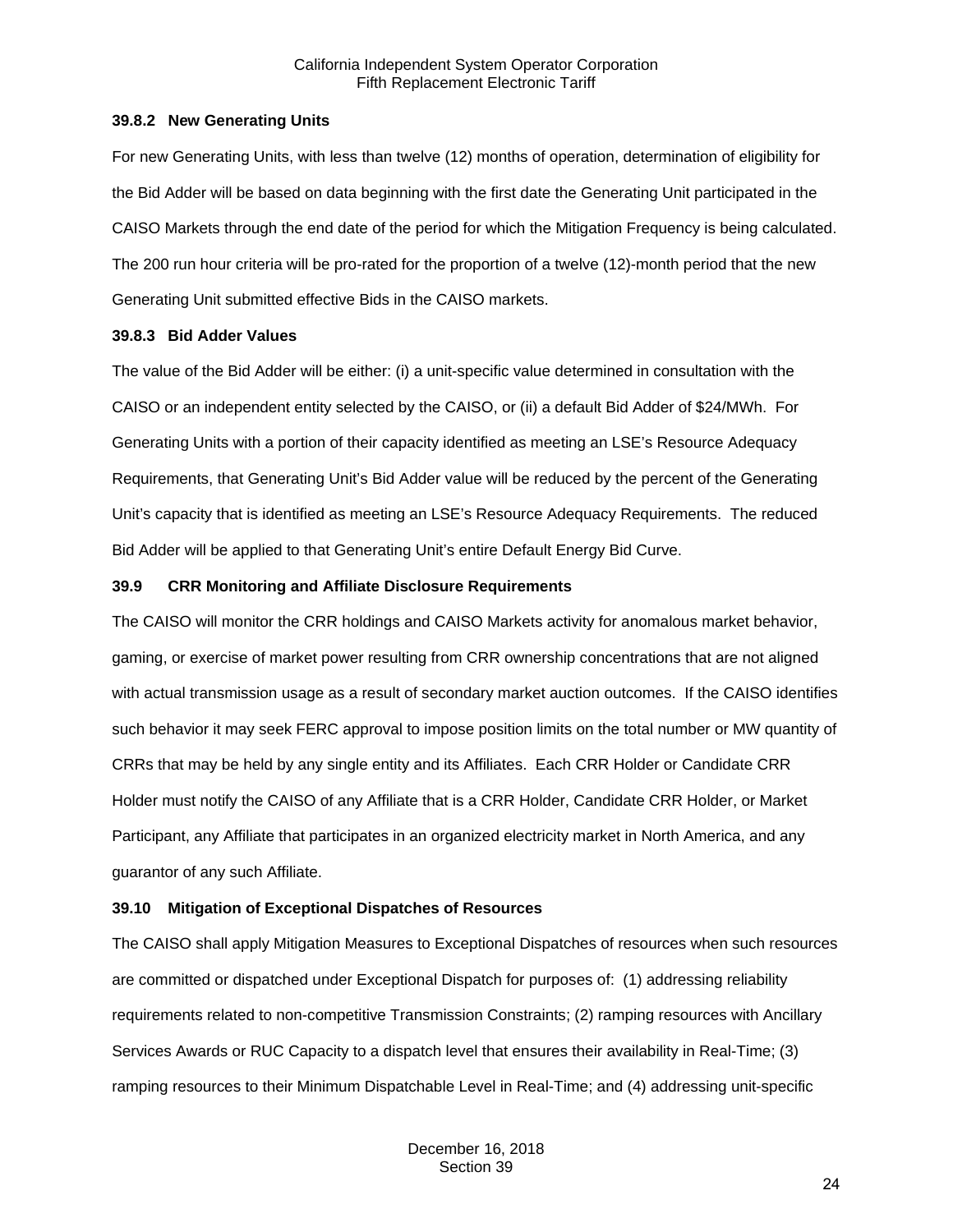#### <span id="page-23-0"></span>**39.8.2 New Generating Units**

For new Generating Units, with less than twelve (12) months of operation, determination of eligibility for the Bid Adder will be based on data beginning with the first date the Generating Unit participated in the CAISO Markets through the end date of the period for which the Mitigation Frequency is being calculated. The 200 run hour criteria will be pro-rated for the proportion of a twelve (12)-month period that the new Generating Unit submitted effective Bids in the CAISO markets.

## <span id="page-23-1"></span>**39.8.3 Bid Adder Values**

The value of the Bid Adder will be either: (i) a unit-specific value determined in consultation with the CAISO or an independent entity selected by the CAISO, or (ii) a default Bid Adder of \$24/MWh. For Generating Units with a portion of their capacity identified as meeting an LSE's Resource Adequacy Requirements, that Generating Unit's Bid Adder value will be reduced by the percent of the Generating Unit's capacity that is identified as meeting an LSE's Resource Adequacy Requirements. The reduced Bid Adder will be applied to that Generating Unit's entire Default Energy Bid Curve.

## <span id="page-23-2"></span>**39.9 CRR Monitoring and Affiliate Disclosure Requirements**

The CAISO will monitor the CRR holdings and CAISO Markets activity for anomalous market behavior, gaming, or exercise of market power resulting from CRR ownership concentrations that are not aligned with actual transmission usage as a result of secondary market auction outcomes. If the CAISO identifies such behavior it may seek FERC approval to impose position limits on the total number or MW quantity of CRRs that may be held by any single entity and its Affiliates. Each CRR Holder or Candidate CRR Holder must notify the CAISO of any Affiliate that is a CRR Holder, Candidate CRR Holder, or Market Participant, any Affiliate that participates in an organized electricity market in North America, and any guarantor of any such Affiliate.

## <span id="page-23-3"></span>**39.10 Mitigation of Exceptional Dispatches of Resources**

The CAISO shall apply Mitigation Measures to Exceptional Dispatches of resources when such resources are committed or dispatched under Exceptional Dispatch for purposes of: (1) addressing reliability requirements related to non-competitive Transmission Constraints; (2) ramping resources with Ancillary Services Awards or RUC Capacity to a dispatch level that ensures their availability in Real-Time; (3) ramping resources to their Minimum Dispatchable Level in Real-Time; and (4) addressing unit-specific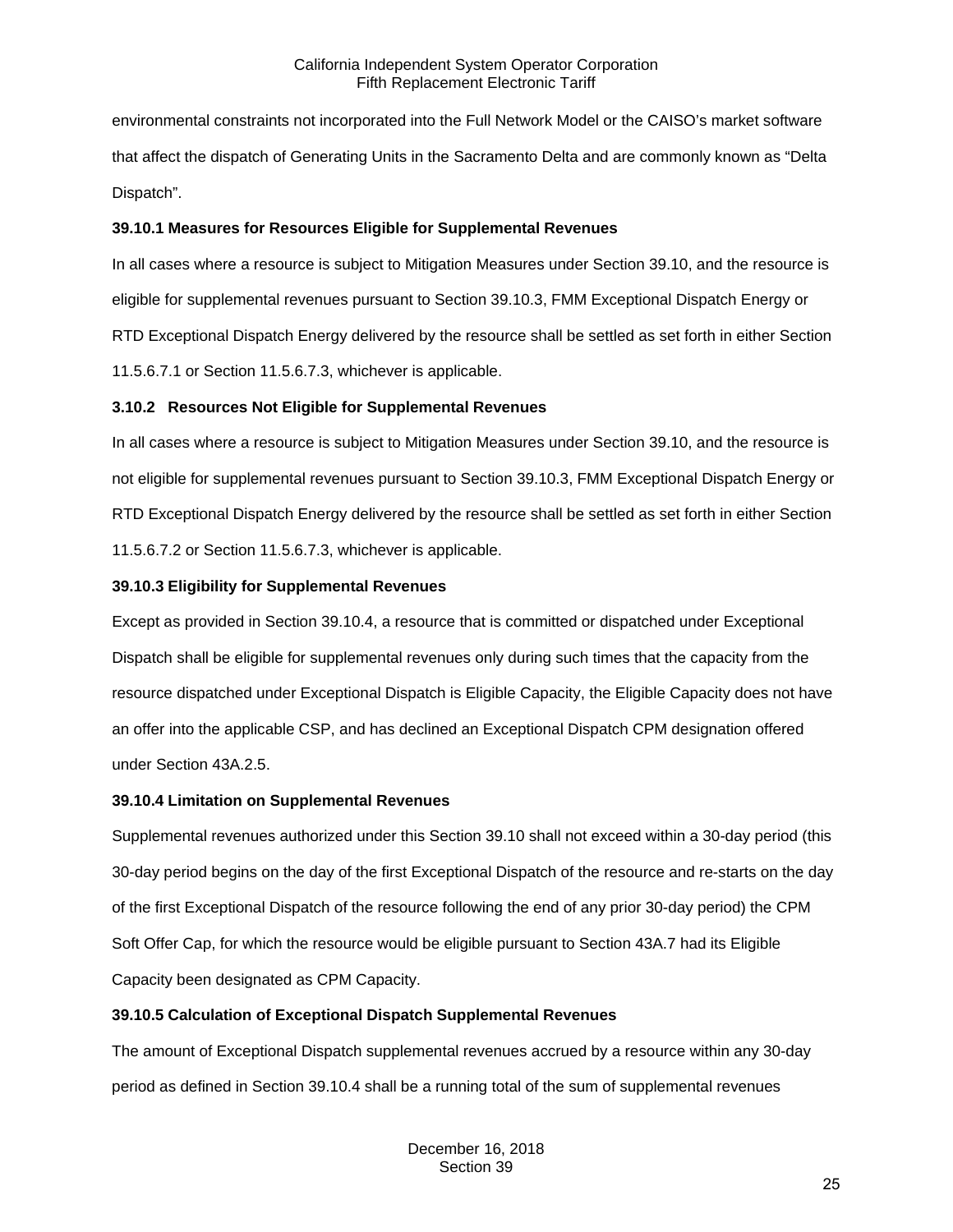environmental constraints not incorporated into the Full Network Model or the CAISO's market software that affect the dispatch of Generating Units in the Sacramento Delta and are commonly known as "Delta Dispatch".

## <span id="page-24-0"></span>**39.10.1 Measures for Resources Eligible for Supplemental Revenues**

In all cases where a resource is subject to Mitigation Measures under Section 39.10, and the resource is eligible for supplemental revenues pursuant to Section 39.10.3, FMM Exceptional Dispatch Energy or RTD Exceptional Dispatch Energy delivered by the resource shall be settled as set forth in either Section 11.5.6.7.1 or Section 11.5.6.7.3, whichever is applicable.

## <span id="page-24-1"></span>**3.10.2 Resources Not Eligible for Supplemental Revenues**

In all cases where a resource is subject to Mitigation Measures under Section 39.10, and the resource is not eligible for supplemental revenues pursuant to Section 39.10.3, FMM Exceptional Dispatch Energy or RTD Exceptional Dispatch Energy delivered by the resource shall be settled as set forth in either Section 11.5.6.7.2 or Section 11.5.6.7.3, whichever is applicable.

## <span id="page-24-2"></span>**39.10.3 Eligibility for Supplemental Revenues**

Except as provided in Section 39.10.4, a resource that is committed or dispatched under Exceptional Dispatch shall be eligible for supplemental revenues only during such times that the capacity from the resource dispatched under Exceptional Dispatch is Eligible Capacity, the Eligible Capacity does not have an offer into the applicable CSP, and has declined an Exceptional Dispatch CPM designation offered under Section 43A.2.5.

## <span id="page-24-3"></span>**39.10.4 Limitation on Supplemental Revenues**

Supplemental revenues authorized under this Section 39.10 shall not exceed within a 30-day period (this 30-day period begins on the day of the first Exceptional Dispatch of the resource and re-starts on the day of the first Exceptional Dispatch of the resource following the end of any prior 30-day period) the CPM Soft Offer Cap, for which the resource would be eligible pursuant to Section 43A.7 had its Eligible Capacity been designated as CPM Capacity.

# <span id="page-24-4"></span>**39.10.5 Calculation of Exceptional Dispatch Supplemental Revenues**

The amount of Exceptional Dispatch supplemental revenues accrued by a resource within any 30-day period as defined in Section 39.10.4 shall be a running total of the sum of supplemental revenues